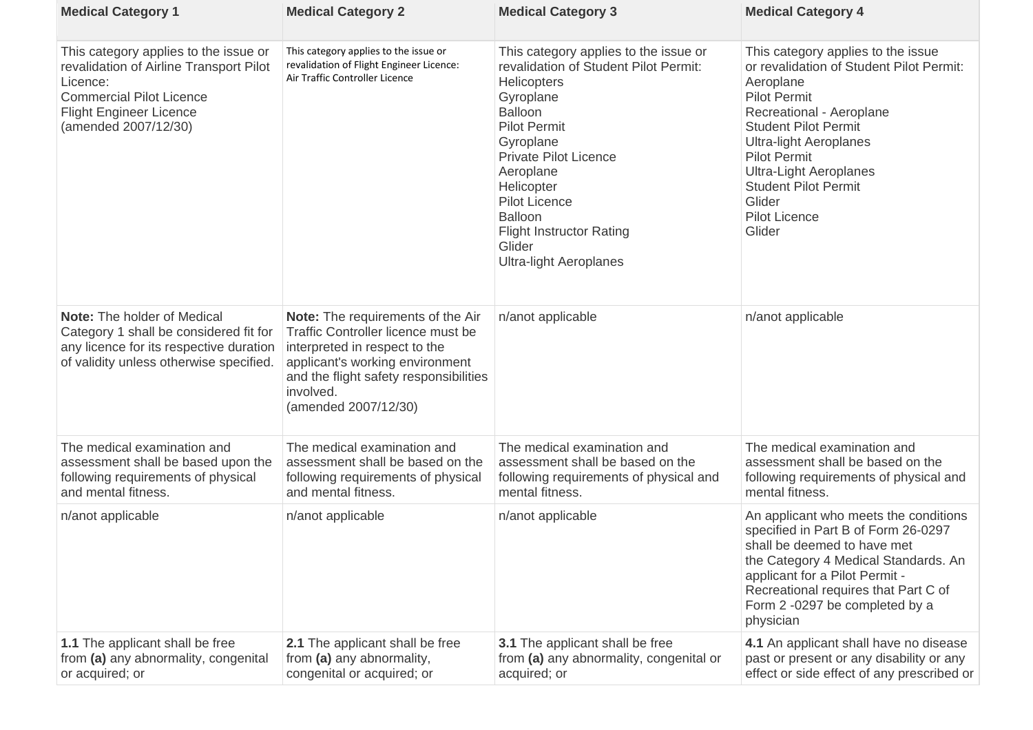| <b>Medical Category 1</b>                                                                                                                                                                 | <b>Medical Category 2</b>                                                                                                                                                                                                                | <b>Medical Category 3</b>                                                                                                                                                                                                                                                                                                                                  | <b>Medical Category 4</b>                                                                                                                                                                                                                                                                                                                         |
|-------------------------------------------------------------------------------------------------------------------------------------------------------------------------------------------|------------------------------------------------------------------------------------------------------------------------------------------------------------------------------------------------------------------------------------------|------------------------------------------------------------------------------------------------------------------------------------------------------------------------------------------------------------------------------------------------------------------------------------------------------------------------------------------------------------|---------------------------------------------------------------------------------------------------------------------------------------------------------------------------------------------------------------------------------------------------------------------------------------------------------------------------------------------------|
| This category applies to the issue or<br>revalidation of Airline Transport Pilot<br>Licence:<br><b>Commercial Pilot Licence</b><br><b>Flight Engineer Licence</b><br>(amended 2007/12/30) | This category applies to the issue or<br>revalidation of Flight Engineer Licence:<br>Air Traffic Controller Licence                                                                                                                      | This category applies to the issue or<br>revalidation of Student Pilot Permit:<br><b>Helicopters</b><br>Gyroplane<br><b>Balloon</b><br><b>Pilot Permit</b><br>Gyroplane<br><b>Private Pilot Licence</b><br>Aeroplane<br>Helicopter<br><b>Pilot Licence</b><br><b>Balloon</b><br><b>Flight Instructor Rating</b><br>Glider<br><b>Ultra-light Aeroplanes</b> | This category applies to the issue<br>or revalidation of Student Pilot Permit:<br>Aeroplane<br><b>Pilot Permit</b><br>Recreational - Aeroplane<br><b>Student Pilot Permit</b><br><b>Ultra-light Aeroplanes</b><br><b>Pilot Permit</b><br><b>Ultra-Light Aeroplanes</b><br><b>Student Pilot Permit</b><br>Glider<br><b>Pilot Licence</b><br>Glider |
| <b>Note:</b> The holder of Medical<br>Category 1 shall be considered fit for<br>any licence for its respective duration<br>of validity unless otherwise specified.                        | <b>Note:</b> The requirements of the Air<br><b>Traffic Controller licence must be</b><br>interpreted in respect to the<br>applicant's working environment<br>and the flight safety responsibilities<br>involved.<br>(amended 2007/12/30) | n/anot applicable                                                                                                                                                                                                                                                                                                                                          | n/anot applicable                                                                                                                                                                                                                                                                                                                                 |
| The medical examination and<br>assessment shall be based upon the<br>following requirements of physical<br>and mental fitness.                                                            | The medical examination and<br>assessment shall be based on the<br>following requirements of physical<br>and mental fitness.                                                                                                             | The medical examination and<br>assessment shall be based on the<br>following requirements of physical and<br>mental fitness.                                                                                                                                                                                                                               | The medical examination and<br>assessment shall be based on the<br>following requirements of physical and<br>mental fitness.                                                                                                                                                                                                                      |
| n/anot applicable                                                                                                                                                                         | n/anot applicable                                                                                                                                                                                                                        | n/anot applicable                                                                                                                                                                                                                                                                                                                                          | An applicant who meets the conditions<br>specified in Part B of Form 26-0297<br>shall be deemed to have met<br>the Category 4 Medical Standards. An<br>applicant for a Pilot Permit -<br>Recreational requires that Part C of<br>Form 2 -0297 be completed by a<br>physician                                                                      |
| <b>1.1</b> The applicant shall be free<br>from (a) any abnormality, congenital<br>or acquired; or                                                                                         | <b>2.1</b> The applicant shall be free<br>from (a) any abnormality,<br>congenital or acquired; or                                                                                                                                        | <b>3.1</b> The applicant shall be free<br>from (a) any abnormality, congenital or<br>acquired; or                                                                                                                                                                                                                                                          | 4.1 An applicant shall have no disease<br>past or present or any disability or any<br>effect or side effect of any prescribed or                                                                                                                                                                                                                  |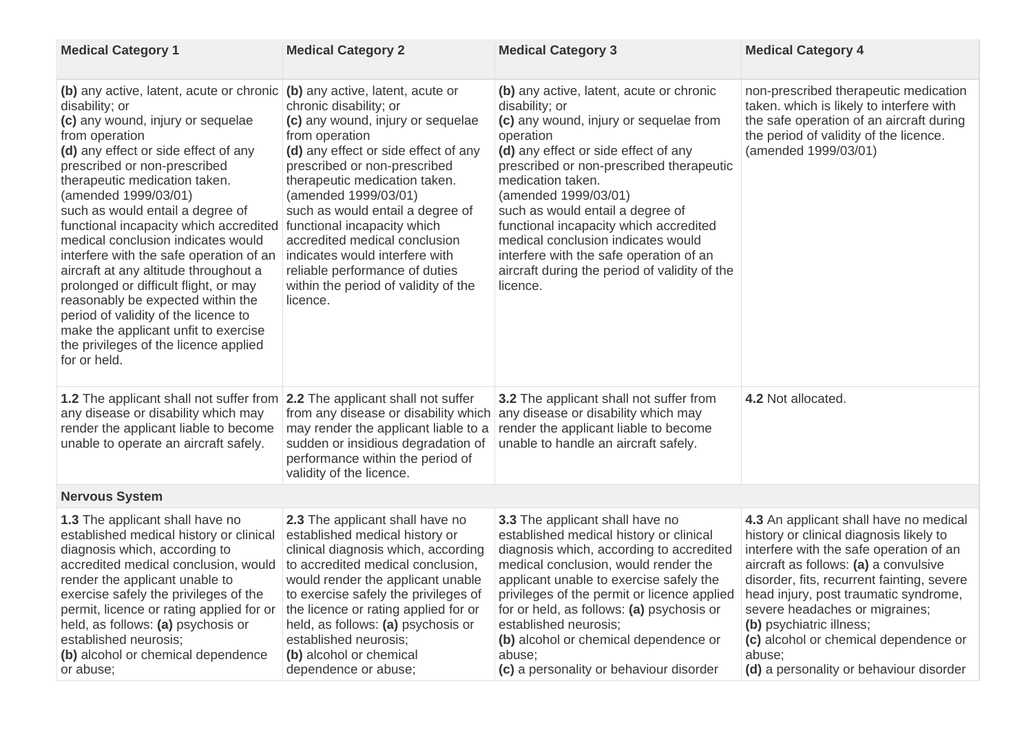| <b>Medical Category 1</b>                                                                                                                                                                                                                                                                                                                                                                                                                                                                                                                                                                                                                                                         | <b>Medical Category 2</b>                                                                                                                                                                                                                                                                                                                                                                                                                                                      | <b>Medical Category 3</b>                                                                                                                                                                                                                                                                                                                                                                                                                                                      | <b>Medical Category 4</b>                                                                                                                                                                                                                                                                                                                                                                                                |
|-----------------------------------------------------------------------------------------------------------------------------------------------------------------------------------------------------------------------------------------------------------------------------------------------------------------------------------------------------------------------------------------------------------------------------------------------------------------------------------------------------------------------------------------------------------------------------------------------------------------------------------------------------------------------------------|--------------------------------------------------------------------------------------------------------------------------------------------------------------------------------------------------------------------------------------------------------------------------------------------------------------------------------------------------------------------------------------------------------------------------------------------------------------------------------|--------------------------------------------------------------------------------------------------------------------------------------------------------------------------------------------------------------------------------------------------------------------------------------------------------------------------------------------------------------------------------------------------------------------------------------------------------------------------------|--------------------------------------------------------------------------------------------------------------------------------------------------------------------------------------------------------------------------------------------------------------------------------------------------------------------------------------------------------------------------------------------------------------------------|
| (b) any active, latent, acute or chronic<br>disability; or<br>(c) any wound, injury or sequelae<br>from operation<br>(d) any effect or side effect of any<br>prescribed or non-prescribed<br>therapeutic medication taken.<br>(amended 1999/03/01)<br>such as would entail a degree of<br>functional incapacity which accredited<br>medical conclusion indicates would<br>interfere with the safe operation of an<br>aircraft at any altitude throughout a<br>prolonged or difficult flight, or may<br>reasonably be expected within the<br>period of validity of the licence to<br>make the applicant unfit to exercise<br>the privileges of the licence applied<br>for or held. | (b) any active, latent, acute or<br>chronic disability; or<br>(c) any wound, injury or sequelae<br>from operation<br>(d) any effect or side effect of any<br>prescribed or non-prescribed<br>therapeutic medication taken.<br>(amended 1999/03/01)<br>such as would entail a degree of<br>functional incapacity which<br>accredited medical conclusion<br>indicates would interfere with<br>reliable performance of duties<br>within the period of validity of the<br>licence. | (b) any active, latent, acute or chronic<br>disability; or<br>(c) any wound, injury or sequelae from<br>operation<br>(d) any effect or side effect of any<br>prescribed or non-prescribed therapeutic<br>medication taken.<br>(amended 1999/03/01)<br>such as would entail a degree of<br>functional incapacity which accredited<br>medical conclusion indicates would<br>interfere with the safe operation of an<br>aircraft during the period of validity of the<br>licence. | non-prescribed therapeutic medication<br>taken. which is likely to interfere with<br>the safe operation of an aircraft during<br>the period of validity of the licence.<br>(amended 1999/03/01)                                                                                                                                                                                                                          |
| <b>1.2</b> The applicant shall not suffer from<br>any disease or disability which may<br>render the applicant liable to become<br>unable to operate an aircraft safely.                                                                                                                                                                                                                                                                                                                                                                                                                                                                                                           | <b>2.2</b> The applicant shall not suffer<br>from any disease or disability which<br>may render the applicant liable to a<br>sudden or insidious degradation of<br>performance within the period of<br>validity of the licence.                                                                                                                                                                                                                                                | <b>3.2</b> The applicant shall not suffer from<br>any disease or disability which may<br>render the applicant liable to become<br>unable to handle an aircraft safely.                                                                                                                                                                                                                                                                                                         | 4.2 Not allocated.                                                                                                                                                                                                                                                                                                                                                                                                       |
| <b>Nervous System</b>                                                                                                                                                                                                                                                                                                                                                                                                                                                                                                                                                                                                                                                             |                                                                                                                                                                                                                                                                                                                                                                                                                                                                                |                                                                                                                                                                                                                                                                                                                                                                                                                                                                                |                                                                                                                                                                                                                                                                                                                                                                                                                          |
| <b>1.3</b> The applicant shall have no<br>established medical history or clinical<br>diagnosis which, according to<br>accredited medical conclusion, would<br>render the applicant unable to<br>exercise safely the privileges of the<br>permit, licence or rating applied for or<br>held, as follows: (a) psychosis or<br>established neurosis;<br>(b) alcohol or chemical dependence<br>or abuse;                                                                                                                                                                                                                                                                               | <b>2.3</b> The applicant shall have no<br>established medical history or<br>clinical diagnosis which, according<br>to accredited medical conclusion,<br>would render the applicant unable<br>to exercise safely the privileges of<br>the licence or rating applied for or<br>held, as follows: (a) psychosis or<br>established neurosis;<br>(b) alcohol or chemical<br>dependence or abuse;                                                                                    | <b>3.3</b> The applicant shall have no<br>established medical history or clinical<br>diagnosis which, according to accredited<br>medical conclusion, would render the<br>applicant unable to exercise safely the<br>privileges of the permit or licence applied<br>for or held, as follows: (a) psychosis or<br>established neurosis;<br>(b) alcohol or chemical dependence or<br>abuse;<br>(c) a personality or behaviour disorder                                            | 4.3 An applicant shall have no medical<br>history or clinical diagnosis likely to<br>interfere with the safe operation of an<br>aircraft as follows: (a) a convulsive<br>disorder, fits, recurrent fainting, severe<br>head injury, post traumatic syndrome,<br>severe headaches or migraines;<br>(b) psychiatric illness;<br>(c) alcohol or chemical dependence or<br>abuse;<br>(d) a personality or behaviour disorder |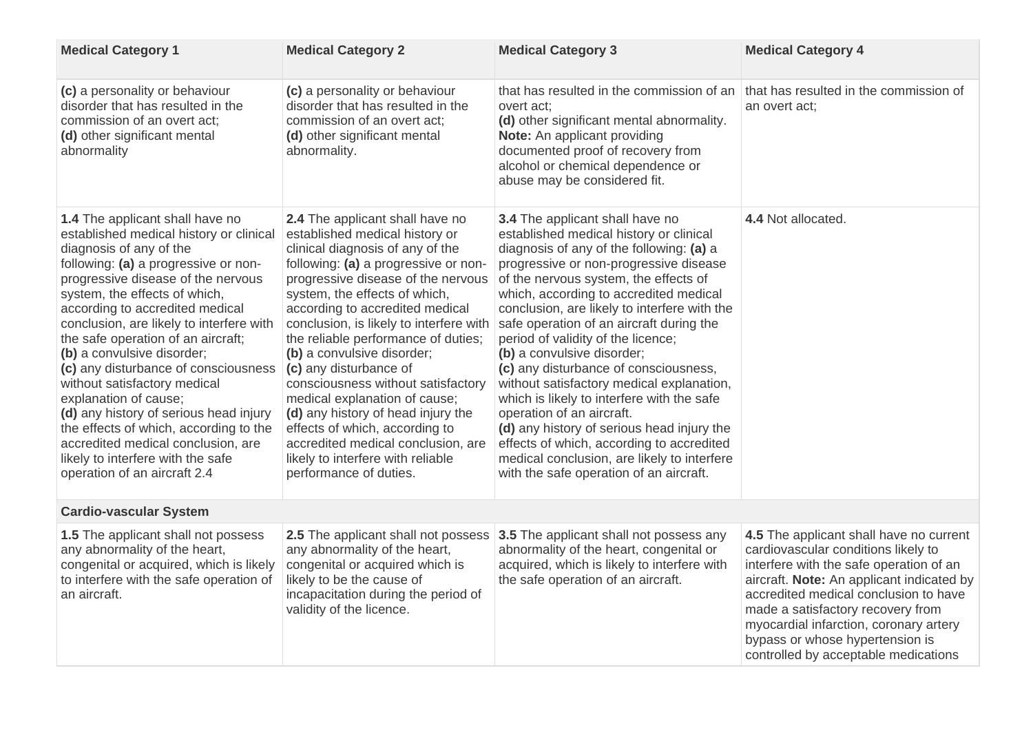| <b>Medical Category 1</b>                                                                                                                                                                                                                                                                                                                                                                                                                                                                                                                                                                                                                                                      | <b>Medical Category 2</b>                                                                                                                                                                                                                                                                                                                                                                                                                                                                                                                                                                                                                             | <b>Medical Category 3</b>                                                                                                                                                                                                                                                                                                                                                                                                                                                                                                                                                                                                                                                                                                                                                        | <b>Medical Category 4</b>                                                                                                                                                                                                                                                                                                                                                 |
|--------------------------------------------------------------------------------------------------------------------------------------------------------------------------------------------------------------------------------------------------------------------------------------------------------------------------------------------------------------------------------------------------------------------------------------------------------------------------------------------------------------------------------------------------------------------------------------------------------------------------------------------------------------------------------|-------------------------------------------------------------------------------------------------------------------------------------------------------------------------------------------------------------------------------------------------------------------------------------------------------------------------------------------------------------------------------------------------------------------------------------------------------------------------------------------------------------------------------------------------------------------------------------------------------------------------------------------------------|----------------------------------------------------------------------------------------------------------------------------------------------------------------------------------------------------------------------------------------------------------------------------------------------------------------------------------------------------------------------------------------------------------------------------------------------------------------------------------------------------------------------------------------------------------------------------------------------------------------------------------------------------------------------------------------------------------------------------------------------------------------------------------|---------------------------------------------------------------------------------------------------------------------------------------------------------------------------------------------------------------------------------------------------------------------------------------------------------------------------------------------------------------------------|
| (c) a personality or behaviour<br>disorder that has resulted in the<br>commission of an overt act;<br>(d) other significant mental<br>abnormality                                                                                                                                                                                                                                                                                                                                                                                                                                                                                                                              | (c) a personality or behaviour<br>disorder that has resulted in the<br>commission of an overt act;<br>(d) other significant mental<br>abnormality.                                                                                                                                                                                                                                                                                                                                                                                                                                                                                                    | that has resulted in the commission of an<br>overt act;<br>(d) other significant mental abnormality.<br><b>Note:</b> An applicant providing<br>documented proof of recovery from<br>alcohol or chemical dependence or<br>abuse may be considered fit.                                                                                                                                                                                                                                                                                                                                                                                                                                                                                                                            | that has resulted in the commission of<br>an overt act;                                                                                                                                                                                                                                                                                                                   |
| <b>1.4</b> The applicant shall have no<br>established medical history or clinical<br>diagnosis of any of the<br>following: (a) a progressive or non-<br>progressive disease of the nervous<br>system, the effects of which,<br>according to accredited medical<br>conclusion, are likely to interfere with<br>the safe operation of an aircraft;<br>(b) a convulsive disorder;<br>(c) any disturbance of consciousness<br>without satisfactory medical<br>explanation of cause;<br>(d) any history of serious head injury<br>the effects of which, according to the<br>accredited medical conclusion, are<br>likely to interfere with the safe<br>operation of an aircraft 2.4 | 2.4 The applicant shall have no<br>established medical history or<br>clinical diagnosis of any of the<br>following: (a) a progressive or non-<br>progressive disease of the nervous<br>system, the effects of which,<br>according to accredited medical<br>conclusion, is likely to interfere with<br>the reliable performance of duties;<br>(b) a convulsive disorder;<br>(c) any disturbance of<br>consciousness without satisfactory<br>medical explanation of cause;<br>(d) any history of head injury the<br>effects of which, according to<br>accredited medical conclusion, are<br>likely to interfere with reliable<br>performance of duties. | <b>3.4</b> The applicant shall have no<br>established medical history or clinical<br>diagnosis of any of the following: (a) a<br>progressive or non-progressive disease<br>of the nervous system, the effects of<br>which, according to accredited medical<br>conclusion, are likely to interfere with the<br>safe operation of an aircraft during the<br>period of validity of the licence;<br>(b) a convulsive disorder;<br>(c) any disturbance of consciousness,<br>without satisfactory medical explanation,<br>which is likely to interfere with the safe<br>operation of an aircraft.<br>(d) any history of serious head injury the<br>effects of which, according to accredited<br>medical conclusion, are likely to interfere<br>with the safe operation of an aircraft. | 4.4 Not allocated.                                                                                                                                                                                                                                                                                                                                                        |
| <b>Cardio-vascular System</b>                                                                                                                                                                                                                                                                                                                                                                                                                                                                                                                                                                                                                                                  |                                                                                                                                                                                                                                                                                                                                                                                                                                                                                                                                                                                                                                                       |                                                                                                                                                                                                                                                                                                                                                                                                                                                                                                                                                                                                                                                                                                                                                                                  |                                                                                                                                                                                                                                                                                                                                                                           |
| <b>1.5</b> The applicant shall not possess<br>any abnormality of the heart,<br>congenital or acquired, which is likely<br>to interfere with the safe operation of<br>an aircraft.                                                                                                                                                                                                                                                                                                                                                                                                                                                                                              | 2.5 The applicant shall not possess<br>any abnormality of the heart,<br>congenital or acquired which is<br>likely to be the cause of<br>incapacitation during the period of<br>validity of the licence.                                                                                                                                                                                                                                                                                                                                                                                                                                               | <b>3.5</b> The applicant shall not possess any<br>abnormality of the heart, congenital or<br>acquired, which is likely to interfere with<br>the safe operation of an aircraft.                                                                                                                                                                                                                                                                                                                                                                                                                                                                                                                                                                                                   | 4.5 The applicant shall have no current<br>cardiovascular conditions likely to<br>interfere with the safe operation of an<br>aircraft. Note: An applicant indicated by<br>accredited medical conclusion to have<br>made a satisfactory recovery from<br>myocardial infarction, coronary artery<br>bypass or whose hypertension is<br>controlled by acceptable medications |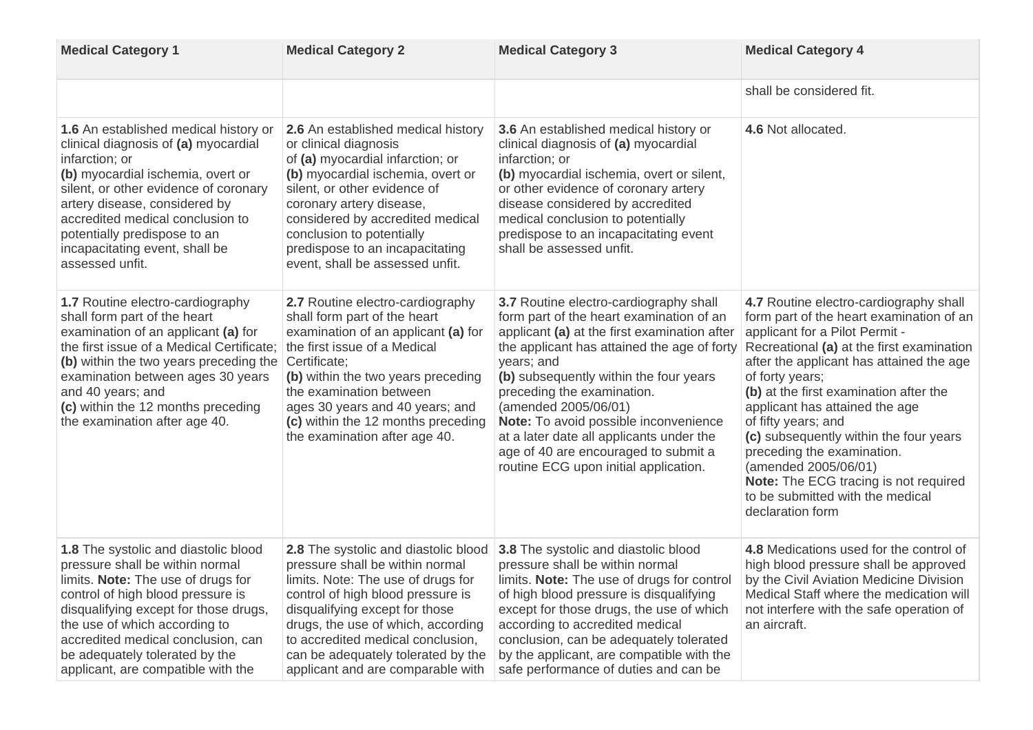| <b>Medical Category 1</b>                                                                                                                                                                                                                                                                                                                         | <b>Medical Category 2</b>                                                                                                                                                                                                                                                                                                                      | <b>Medical Category 3</b>                                                                                                                                                                                                                                                                                                                                                                                                                                                           | <b>Medical Category 4</b>                                                                                                                                                                                                                                                                                                                                                                                                                                                                                                                   |
|---------------------------------------------------------------------------------------------------------------------------------------------------------------------------------------------------------------------------------------------------------------------------------------------------------------------------------------------------|------------------------------------------------------------------------------------------------------------------------------------------------------------------------------------------------------------------------------------------------------------------------------------------------------------------------------------------------|-------------------------------------------------------------------------------------------------------------------------------------------------------------------------------------------------------------------------------------------------------------------------------------------------------------------------------------------------------------------------------------------------------------------------------------------------------------------------------------|---------------------------------------------------------------------------------------------------------------------------------------------------------------------------------------------------------------------------------------------------------------------------------------------------------------------------------------------------------------------------------------------------------------------------------------------------------------------------------------------------------------------------------------------|
|                                                                                                                                                                                                                                                                                                                                                   |                                                                                                                                                                                                                                                                                                                                                |                                                                                                                                                                                                                                                                                                                                                                                                                                                                                     | shall be considered fit.                                                                                                                                                                                                                                                                                                                                                                                                                                                                                                                    |
| <b>1.6</b> An established medical history or<br>clinical diagnosis of (a) myocardial<br>infarction; or<br>(b) myocardial ischemia, overt or<br>silent, or other evidence of coronary<br>artery disease, considered by<br>accredited medical conclusion to<br>potentially predispose to an<br>incapacitating event, shall be<br>assessed unfit.    | <b>2.6</b> An established medical history<br>or clinical diagnosis<br>of (a) myocardial infarction; or<br>(b) myocardial ischemia, overt or<br>silent, or other evidence of<br>coronary artery disease,<br>considered by accredited medical<br>conclusion to potentially<br>predispose to an incapacitating<br>event, shall be assessed unfit. | <b>3.6</b> An established medical history or<br>clinical diagnosis of (a) myocardial<br>infarction; or<br>(b) myocardial ischemia, overt or silent,<br>or other evidence of coronary artery<br>disease considered by accredited<br>medical conclusion to potentially<br>predispose to an incapacitating event<br>shall be assessed unfit.                                                                                                                                           | 4.6 Not allocated.                                                                                                                                                                                                                                                                                                                                                                                                                                                                                                                          |
| 1.7 Routine electro-cardiography<br>shall form part of the heart<br>examination of an applicant (a) for<br>the first issue of a Medical Certificate;<br>(b) within the two years preceding the<br>examination between ages 30 years<br>and 40 years; and<br>(c) within the 12 months preceding<br>the examination after age 40.                   | 2.7 Routine electro-cardiography<br>shall form part of the heart<br>examination of an applicant (a) for<br>the first issue of a Medical<br>Certificate;<br>(b) within the two years preceding<br>the examination between<br>ages 30 years and 40 years; and<br>(c) within the 12 months preceding<br>the examination after age 40.             | <b>3.7</b> Routine electro-cardiography shall<br>form part of the heart examination of an<br>applicant (a) at the first examination after<br>the applicant has attained the age of forty<br>years; and<br>(b) subsequently within the four years<br>preceding the examination.<br>(amended 2005/06/01)<br><b>Note:</b> To avoid possible inconvenience<br>at a later date all applicants under the<br>age of 40 are encouraged to submit a<br>routine ECG upon initial application. | 4.7 Routine electro-cardiography shall<br>form part of the heart examination of an<br>applicant for a Pilot Permit -<br>Recreational (a) at the first examination<br>after the applicant has attained the age<br>of forty years;<br>(b) at the first examination after the<br>applicant has attained the age<br>of fifty years; and<br>(c) subsequently within the four years<br>preceding the examination.<br>(amended 2005/06/01)<br><b>Note:</b> The ECG tracing is not required<br>to be submitted with the medical<br>declaration form |
| <b>1.8</b> The systolic and diastolic blood<br>pressure shall be within normal<br>limits. Note: The use of drugs for<br>control of high blood pressure is<br>disqualifying except for those drugs,<br>the use of which according to<br>accredited medical conclusion, can<br>be adequately tolerated by the<br>applicant, are compatible with the | 2.8 The systolic and diastolic blood<br>pressure shall be within normal<br>limits. Note: The use of drugs for<br>control of high blood pressure is<br>disqualifying except for those<br>drugs, the use of which, according<br>to accredited medical conclusion,<br>can be adequately tolerated by the<br>applicant and are comparable with     | <b>3.8</b> The systolic and diastolic blood<br>pressure shall be within normal<br>limits. Note: The use of drugs for control<br>of high blood pressure is disqualifying<br>except for those drugs, the use of which<br>according to accredited medical<br>conclusion, can be adequately tolerated<br>by the applicant, are compatible with the<br>safe performance of duties and can be                                                                                             | <b>4.8</b> Medications used for the control of<br>high blood pressure shall be approved<br>by the Civil Aviation Medicine Division<br>Medical Staff where the medication will<br>not interfere with the safe operation of<br>an aircraft.                                                                                                                                                                                                                                                                                                   |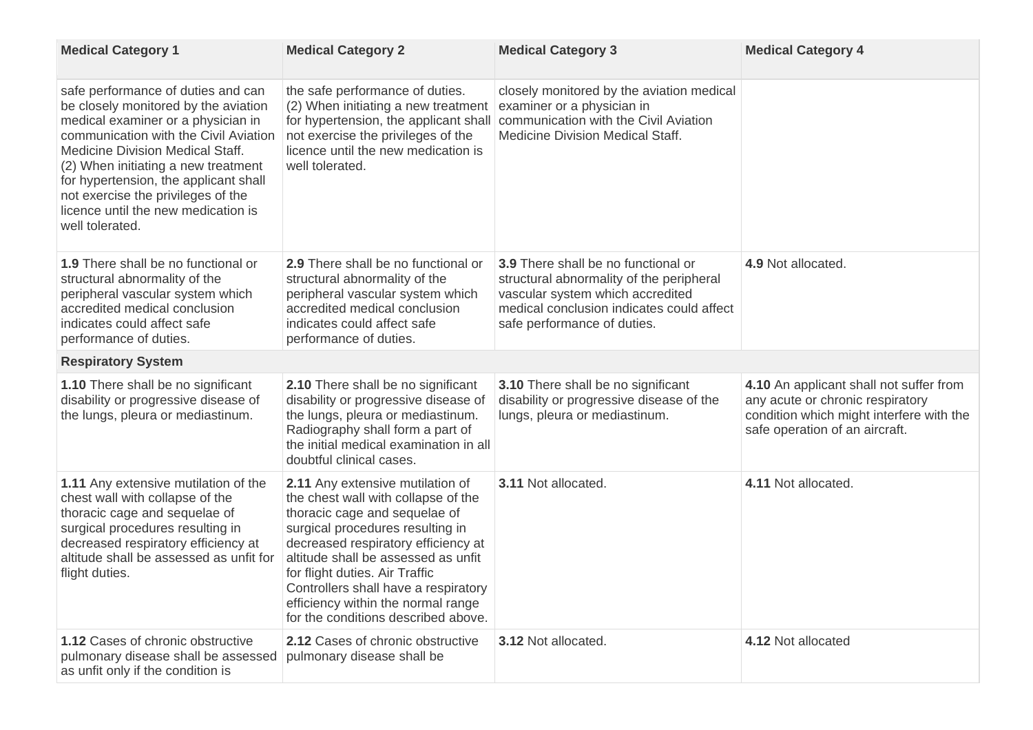| <b>Medical Category 1</b>                                                                                                                                                                                                                                                                                                                                                            | <b>Medical Category 2</b>                                                                                                                                                                                                                                                                                                                                                                | <b>Medical Category 3</b>                                                                                                                                                                              | <b>Medical Category 4</b>                                                                                                                                 |
|--------------------------------------------------------------------------------------------------------------------------------------------------------------------------------------------------------------------------------------------------------------------------------------------------------------------------------------------------------------------------------------|------------------------------------------------------------------------------------------------------------------------------------------------------------------------------------------------------------------------------------------------------------------------------------------------------------------------------------------------------------------------------------------|--------------------------------------------------------------------------------------------------------------------------------------------------------------------------------------------------------|-----------------------------------------------------------------------------------------------------------------------------------------------------------|
| safe performance of duties and can<br>be closely monitored by the aviation<br>medical examiner or a physician in<br>communication with the Civil Aviation<br><b>Medicine Division Medical Staff.</b><br>(2) When initiating a new treatment<br>for hypertension, the applicant shall<br>not exercise the privileges of the<br>licence until the new medication is<br>well tolerated. | the safe performance of duties.<br>(2) When initiating a new treatment<br>for hypertension, the applicant shall<br>not exercise the privileges of the<br>licence until the new medication is<br>well tolerated.                                                                                                                                                                          | closely monitored by the aviation medical<br>examiner or a physician in<br>communication with the Civil Aviation<br><b>Medicine Division Medical Staff.</b>                                            |                                                                                                                                                           |
| <b>1.9</b> There shall be no functional or<br>structural abnormality of the<br>peripheral vascular system which<br>accredited medical conclusion<br>indicates could affect safe<br>performance of duties.                                                                                                                                                                            | 2.9 There shall be no functional or<br>structural abnormality of the<br>peripheral vascular system which<br>accredited medical conclusion<br>indicates could affect safe<br>performance of duties.                                                                                                                                                                                       | <b>3.9</b> There shall be no functional or<br>structural abnormality of the peripheral<br>vascular system which accredited<br>medical conclusion indicates could affect<br>safe performance of duties. | 4.9 Not allocated.                                                                                                                                        |
| <b>Respiratory System</b>                                                                                                                                                                                                                                                                                                                                                            |                                                                                                                                                                                                                                                                                                                                                                                          |                                                                                                                                                                                                        |                                                                                                                                                           |
| <b>1.10</b> There shall be no significant<br>disability or progressive disease of<br>the lungs, pleura or mediastinum.                                                                                                                                                                                                                                                               | <b>2.10</b> There shall be no significant<br>disability or progressive disease of<br>the lungs, pleura or mediastinum.<br>Radiography shall form a part of<br>the initial medical examination in all<br>doubtful clinical cases.                                                                                                                                                         | 3.10 There shall be no significant<br>disability or progressive disease of the<br>lungs, pleura or mediastinum.                                                                                        | 4.10 An applicant shall not suffer from<br>any acute or chronic respiratory<br>condition which might interfere with the<br>safe operation of an aircraft. |
| <b>1.11</b> Any extensive mutilation of the<br>chest wall with collapse of the<br>thoracic cage and sequelae of<br>surgical procedures resulting in<br>decreased respiratory efficiency at<br>altitude shall be assessed as unfit for<br>flight duties.                                                                                                                              | <b>2.11</b> Any extensive mutilation of<br>the chest wall with collapse of the<br>thoracic cage and sequelae of<br>surgical procedures resulting in<br>decreased respiratory efficiency at<br>altitude shall be assessed as unfit<br>for flight duties. Air Traffic<br>Controllers shall have a respiratory<br>efficiency within the normal range<br>for the conditions described above. | <b>3.11 Not allocated</b>                                                                                                                                                                              | 4.11 Not allocated                                                                                                                                        |
| <b>1.12 Cases of chronic obstructive</b><br>pulmonary disease shall be assessed<br>as unfit only if the condition is                                                                                                                                                                                                                                                                 | <b>2.12 Cases of chronic obstructive</b><br>pulmonary disease shall be                                                                                                                                                                                                                                                                                                                   | 3.12 Not allocated.                                                                                                                                                                                    | 4.12 Not allocated                                                                                                                                        |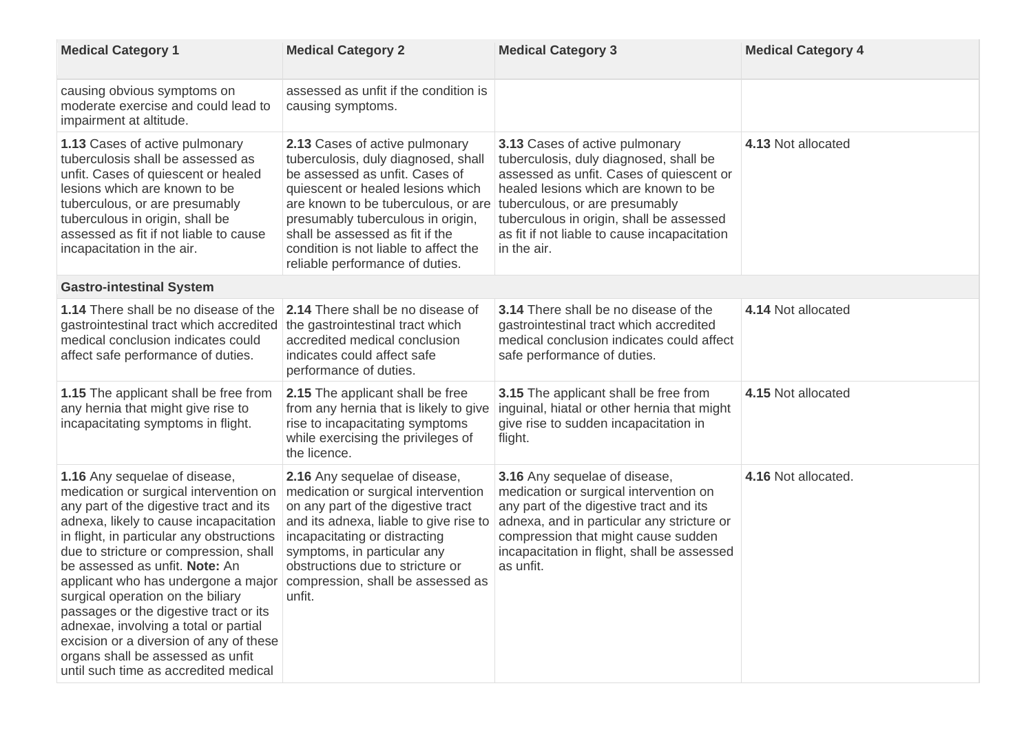| <b>Medical Category 1</b>                                                                                                                                                                                                                                                                                                                                                                                                                                                                                                                                                            | <b>Medical Category 2</b>                                                                                                                                                                                                                                                                                                               | <b>Medical Category 3</b>                                                                                                                                                                                                                                                                                 | <b>Medical Category 4</b> |
|--------------------------------------------------------------------------------------------------------------------------------------------------------------------------------------------------------------------------------------------------------------------------------------------------------------------------------------------------------------------------------------------------------------------------------------------------------------------------------------------------------------------------------------------------------------------------------------|-----------------------------------------------------------------------------------------------------------------------------------------------------------------------------------------------------------------------------------------------------------------------------------------------------------------------------------------|-----------------------------------------------------------------------------------------------------------------------------------------------------------------------------------------------------------------------------------------------------------------------------------------------------------|---------------------------|
| causing obvious symptoms on<br>moderate exercise and could lead to<br>impairment at altitude.                                                                                                                                                                                                                                                                                                                                                                                                                                                                                        | assessed as unfit if the condition is<br>causing symptoms.                                                                                                                                                                                                                                                                              |                                                                                                                                                                                                                                                                                                           |                           |
| <b>1.13 Cases of active pulmonary</b><br>tuberculosis shall be assessed as<br>unfit. Cases of quiescent or healed<br>lesions which are known to be<br>tuberculous, or are presumably<br>tuberculous in origin, shall be<br>assessed as fit if not liable to cause<br>incapacitation in the air.                                                                                                                                                                                                                                                                                      | 2.13 Cases of active pulmonary<br>tuberculosis, duly diagnosed, shall<br>be assessed as unfit. Cases of<br>quiescent or healed lesions which<br>are known to be tuberculous, or are<br>presumably tuberculous in origin,<br>shall be assessed as fit if the<br>condition is not liable to affect the<br>reliable performance of duties. | 3.13 Cases of active pulmonary<br>tuberculosis, duly diagnosed, shall be<br>assessed as unfit. Cases of quiescent or<br>healed lesions which are known to be<br>tuberculous, or are presumably<br>tuberculous in origin, shall be assessed<br>as fit if not liable to cause incapacitation<br>in the air. | 4.13 Not allocated        |
| <b>Gastro-intestinal System</b>                                                                                                                                                                                                                                                                                                                                                                                                                                                                                                                                                      |                                                                                                                                                                                                                                                                                                                                         |                                                                                                                                                                                                                                                                                                           |                           |
| <b>1.14</b> There shall be no disease of the<br>gastrointestinal tract which accredited<br>medical conclusion indicates could<br>affect safe performance of duties.                                                                                                                                                                                                                                                                                                                                                                                                                  | 2.14 There shall be no disease of<br>the gastrointestinal tract which<br>accredited medical conclusion<br>indicates could affect safe<br>performance of duties.                                                                                                                                                                         | 3.14 There shall be no disease of the<br>gastrointestinal tract which accredited<br>medical conclusion indicates could affect<br>safe performance of duties.                                                                                                                                              | 4.14 Not allocated        |
| <b>1.15</b> The applicant shall be free from<br>any hernia that might give rise to<br>incapacitating symptoms in flight.                                                                                                                                                                                                                                                                                                                                                                                                                                                             | <b>2.15</b> The applicant shall be free<br>from any hernia that is likely to give<br>rise to incapacitating symptoms<br>while exercising the privileges of<br>the licence.                                                                                                                                                              | <b>3.15</b> The applicant shall be free from<br>inguinal, hiatal or other hernia that might<br>give rise to sudden incapacitation in<br>flight.                                                                                                                                                           | 4.15 Not allocated        |
| 1.16 Any sequelae of disease,<br>medication or surgical intervention on<br>any part of the digestive tract and its<br>adnexa, likely to cause incapacitation<br>in flight, in particular any obstructions<br>due to stricture or compression, shall<br>be assessed as unfit. <b>Note:</b> An<br>applicant who has undergone a major<br>surgical operation on the biliary<br>passages or the digestive tract or its<br>adnexae, involving a total or partial<br>excision or a diversion of any of these<br>organs shall be assessed as unfit<br>until such time as accredited medical | 2.16 Any sequelae of disease,<br>medication or surgical intervention<br>on any part of the digestive tract<br>and its adnexa, liable to give rise to<br>incapacitating or distracting<br>symptoms, in particular any<br>obstructions due to stricture or<br>compression, shall be assessed as<br>unfit.                                 | 3.16 Any sequelae of disease,<br>medication or surgical intervention on<br>any part of the digestive tract and its<br>adnexa, and in particular any stricture or<br>compression that might cause sudden<br>incapacitation in flight, shall be assessed<br>as unfit.                                       | 4.16 Not allocated.       |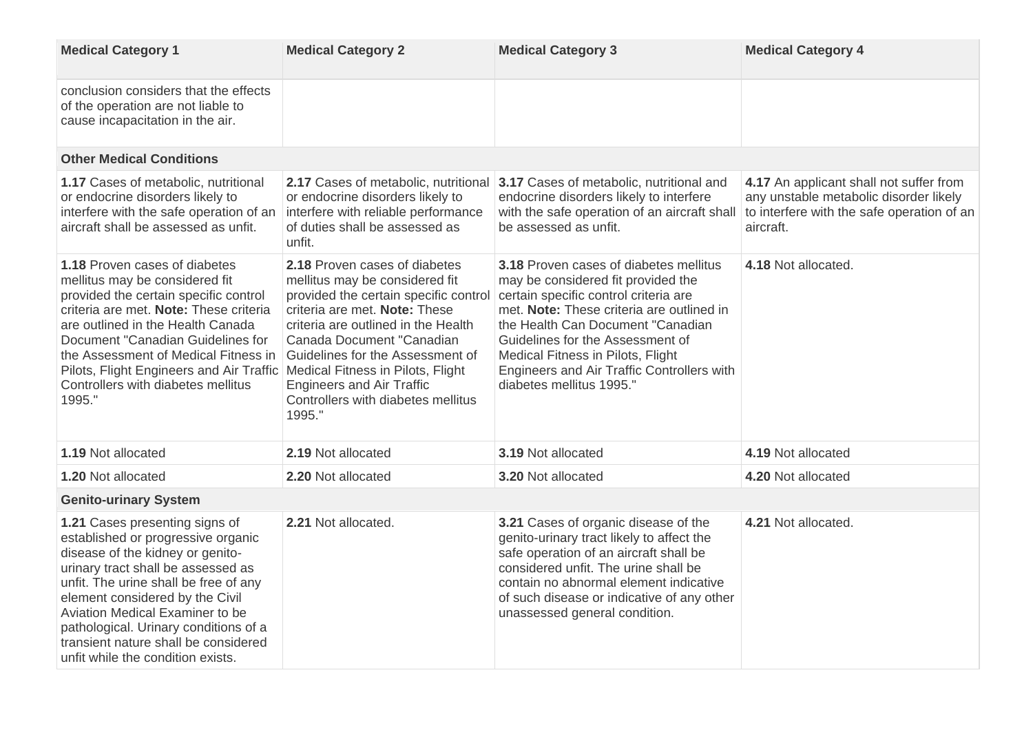| <b>Medical Category 1</b>                                                                                                                                                                                                                                                                                                                                                                  | <b>Medical Category 2</b>                                                                                                                                                                                                                                                                                                                                                   | <b>Medical Category 3</b>                                                                                                                                                                                                                                                                                                                                                        | <b>Medical Category 4</b>                                                                                                                    |
|--------------------------------------------------------------------------------------------------------------------------------------------------------------------------------------------------------------------------------------------------------------------------------------------------------------------------------------------------------------------------------------------|-----------------------------------------------------------------------------------------------------------------------------------------------------------------------------------------------------------------------------------------------------------------------------------------------------------------------------------------------------------------------------|----------------------------------------------------------------------------------------------------------------------------------------------------------------------------------------------------------------------------------------------------------------------------------------------------------------------------------------------------------------------------------|----------------------------------------------------------------------------------------------------------------------------------------------|
| conclusion considers that the effects<br>of the operation are not liable to<br>cause incapacitation in the air.                                                                                                                                                                                                                                                                            |                                                                                                                                                                                                                                                                                                                                                                             |                                                                                                                                                                                                                                                                                                                                                                                  |                                                                                                                                              |
| <b>Other Medical Conditions</b>                                                                                                                                                                                                                                                                                                                                                            |                                                                                                                                                                                                                                                                                                                                                                             |                                                                                                                                                                                                                                                                                                                                                                                  |                                                                                                                                              |
| <b>1.17 Cases of metabolic, nutritional</b><br>or endocrine disorders likely to<br>interfere with the safe operation of an<br>aircraft shall be assessed as unfit.                                                                                                                                                                                                                         | 2.17 Cases of metabolic, nutritional<br>or endocrine disorders likely to<br>interfere with reliable performance<br>of duties shall be assessed as<br>unfit.                                                                                                                                                                                                                 | 3.17 Cases of metabolic, nutritional and<br>endocrine disorders likely to interfere<br>with the safe operation of an aircraft shall<br>be assessed as unfit.                                                                                                                                                                                                                     | 4.17 An applicant shall not suffer from<br>any unstable metabolic disorder likely<br>to interfere with the safe operation of an<br>aircraft. |
| 1.18 Proven cases of diabetes<br>mellitus may be considered fit<br>provided the certain specific control<br>criteria are met. Note: These criteria<br>are outlined in the Health Canada<br>Document "Canadian Guidelines for<br>the Assessment of Medical Fitness in<br>Pilots, Flight Engineers and Air Traffic<br>Controllers with diabetes mellitus<br>1995."                           | 2.18 Proven cases of diabetes<br>mellitus may be considered fit<br>provided the certain specific control<br>criteria are met. Note: These<br>criteria are outlined in the Health<br>Canada Document "Canadian"<br>Guidelines for the Assessment of<br>Medical Fitness in Pilots, Flight<br><b>Engineers and Air Traffic</b><br>Controllers with diabetes mellitus<br>1995." | <b>3.18 Proven cases of diabetes mellitus</b><br>may be considered fit provided the<br>certain specific control criteria are<br>met. Note: These criteria are outlined in<br>the Health Can Document "Canadian"<br>Guidelines for the Assessment of<br><b>Medical Fitness in Pilots, Flight</b><br><b>Engineers and Air Traffic Controllers with</b><br>diabetes mellitus 1995." | 4.18 Not allocated.                                                                                                                          |
| <b>1.19 Not allocated</b>                                                                                                                                                                                                                                                                                                                                                                  | 2.19 Not allocated                                                                                                                                                                                                                                                                                                                                                          | 3.19 Not allocated                                                                                                                                                                                                                                                                                                                                                               | 4.19 Not allocated                                                                                                                           |
| <b>1.20 Not allocated</b>                                                                                                                                                                                                                                                                                                                                                                  | 2.20 Not allocated                                                                                                                                                                                                                                                                                                                                                          | <b>3.20 Not allocated</b>                                                                                                                                                                                                                                                                                                                                                        | 4.20 Not allocated                                                                                                                           |
| <b>Genito-urinary System</b>                                                                                                                                                                                                                                                                                                                                                               |                                                                                                                                                                                                                                                                                                                                                                             |                                                                                                                                                                                                                                                                                                                                                                                  |                                                                                                                                              |
| 1.21 Cases presenting signs of<br>established or progressive organic<br>disease of the kidney or genito-<br>urinary tract shall be assessed as<br>unfit. The urine shall be free of any<br>element considered by the Civil<br><b>Aviation Medical Examiner to be</b><br>pathological. Urinary conditions of a<br>transient nature shall be considered<br>unfit while the condition exists. | 2.21 Not allocated.                                                                                                                                                                                                                                                                                                                                                         | 3.21 Cases of organic disease of the<br>genito-urinary tract likely to affect the<br>safe operation of an aircraft shall be<br>considered unfit. The urine shall be<br>contain no abnormal element indicative<br>of such disease or indicative of any other<br>unassessed general condition.                                                                                     | 4.21 Not allocated.                                                                                                                          |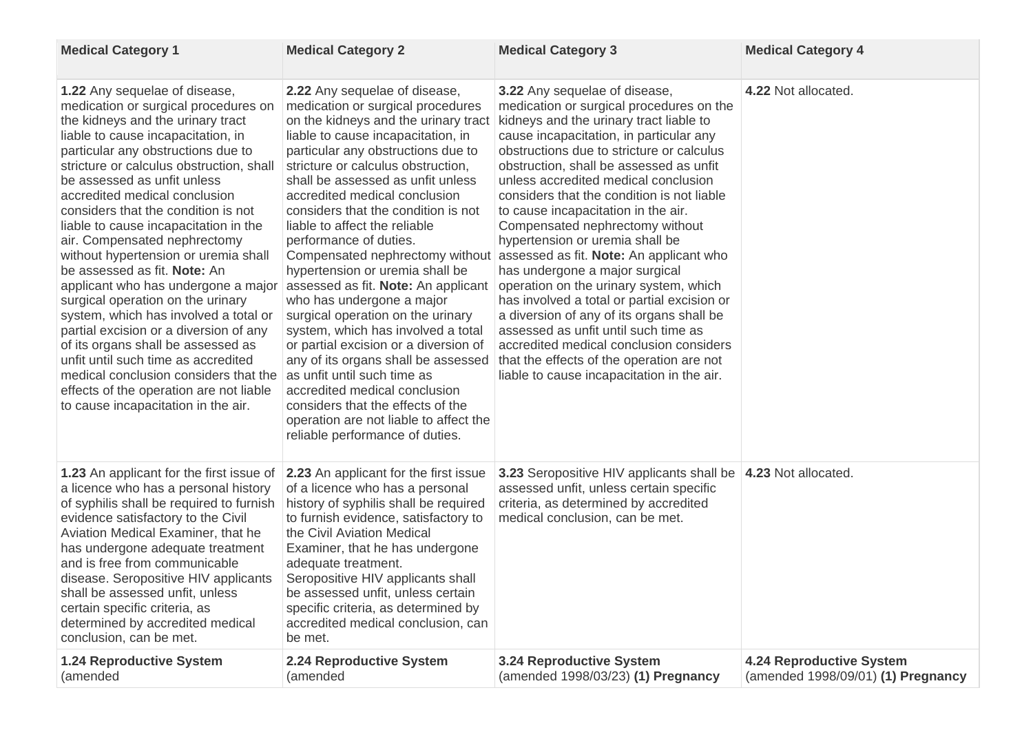| <b>Medical Category 1</b>                                                                                                                                                                                                                                                                                                                                                                                                                                                                                                                                                                                                                                                                                                                                                                                                                                                       | <b>Medical Category 2</b>                                                                                                                                                                                                                                                                                                                                                                                                                                                                                                                                                                                                                                                                                                                                                                                                                                | <b>Medical Category 3</b>                                                                                                                                                                                                                                                                                                                                                                                                                                                                                                                                                                                                                                                                                                                                                                                                                                                                   | <b>Medical Category 4</b>                                             |
|---------------------------------------------------------------------------------------------------------------------------------------------------------------------------------------------------------------------------------------------------------------------------------------------------------------------------------------------------------------------------------------------------------------------------------------------------------------------------------------------------------------------------------------------------------------------------------------------------------------------------------------------------------------------------------------------------------------------------------------------------------------------------------------------------------------------------------------------------------------------------------|----------------------------------------------------------------------------------------------------------------------------------------------------------------------------------------------------------------------------------------------------------------------------------------------------------------------------------------------------------------------------------------------------------------------------------------------------------------------------------------------------------------------------------------------------------------------------------------------------------------------------------------------------------------------------------------------------------------------------------------------------------------------------------------------------------------------------------------------------------|---------------------------------------------------------------------------------------------------------------------------------------------------------------------------------------------------------------------------------------------------------------------------------------------------------------------------------------------------------------------------------------------------------------------------------------------------------------------------------------------------------------------------------------------------------------------------------------------------------------------------------------------------------------------------------------------------------------------------------------------------------------------------------------------------------------------------------------------------------------------------------------------|-----------------------------------------------------------------------|
| <b>1.22</b> Any sequelae of disease,<br>medication or surgical procedures on<br>the kidneys and the urinary tract<br>liable to cause incapacitation, in<br>particular any obstructions due to<br>stricture or calculus obstruction, shall<br>be assessed as unfit unless<br>accredited medical conclusion<br>considers that the condition is not<br>liable to cause incapacitation in the<br>air. Compensated nephrectomy<br>without hypertension or uremia shall<br>be assessed as fit. <b>Note:</b> An<br>applicant who has undergone a major<br>surgical operation on the urinary<br>system, which has involved a total or<br>partial excision or a diversion of any<br>of its organs shall be assessed as<br>unfit until such time as accredited<br>medical conclusion considers that the<br>effects of the operation are not liable<br>to cause incapacitation in the air. | 2.22 Any sequelae of disease,<br>medication or surgical procedures<br>on the kidneys and the urinary tract<br>liable to cause incapacitation, in<br>particular any obstructions due to<br>stricture or calculus obstruction,<br>shall be assessed as unfit unless<br>accredited medical conclusion<br>considers that the condition is not<br>liable to affect the reliable<br>performance of duties.<br>hypertension or uremia shall be<br>assessed as fit. Note: An applicant<br>who has undergone a major<br>surgical operation on the urinary<br>system, which has involved a total<br>or partial excision or a diversion of<br>any of its organs shall be assessed<br>as unfit until such time as<br>accredited medical conclusion<br>considers that the effects of the<br>operation are not liable to affect the<br>reliable performance of duties. | 3.22 Any sequelae of disease,<br>medication or surgical procedures on the<br>kidneys and the urinary tract liable to<br>cause incapacitation, in particular any<br>obstructions due to stricture or calculus<br>obstruction, shall be assessed as unfit<br>unless accredited medical conclusion<br>considers that the condition is not liable<br>to cause incapacitation in the air.<br>Compensated nephrectomy without<br>hypertension or uremia shall be<br>Compensated nephrectomy without assessed as fit. Note: An applicant who<br>has undergone a major surgical<br>operation on the urinary system, which<br>has involved a total or partial excision or<br>a diversion of any of its organs shall be<br>assessed as unfit until such time as<br>accredited medical conclusion considers<br>that the effects of the operation are not<br>liable to cause incapacitation in the air. | 4.22 Not allocated.                                                   |
| 1.23 An applicant for the first issue of 2.23 An applicant for the first issue<br>a licence who has a personal history<br>of syphilis shall be required to furnish<br>evidence satisfactory to the Civil<br>Aviation Medical Examiner, that he<br>has undergone adequate treatment<br>and is free from communicable<br>disease. Seropositive HIV applicants<br>shall be assessed unfit, unless<br>certain specific criteria, as<br>determined by accredited medical<br>conclusion, can be met.                                                                                                                                                                                                                                                                                                                                                                                  | of a licence who has a personal<br>history of syphilis shall be required<br>to furnish evidence, satisfactory to<br>the Civil Aviation Medical<br>Examiner, that he has undergone<br>adequate treatment.<br>Seropositive HIV applicants shall<br>be assessed unfit, unless certain<br>specific criteria, as determined by<br>accredited medical conclusion, can<br>be met.                                                                                                                                                                                                                                                                                                                                                                                                                                                                               | <b>3.23</b> Seropositive HIV applicants shall be <b>4.23</b> Not allocated.<br>assessed unfit, unless certain specific<br>criteria, as determined by accredited<br>medical conclusion, can be met.                                                                                                                                                                                                                                                                                                                                                                                                                                                                                                                                                                                                                                                                                          |                                                                       |
| <b>1.24 Reproductive System</b><br>(amended                                                                                                                                                                                                                                                                                                                                                                                                                                                                                                                                                                                                                                                                                                                                                                                                                                     | 2.24 Reproductive System<br>(amended                                                                                                                                                                                                                                                                                                                                                                                                                                                                                                                                                                                                                                                                                                                                                                                                                     | <b>3.24 Reproductive System</b><br>(amended 1998/03/23) (1) Pregnancy                                                                                                                                                                                                                                                                                                                                                                                                                                                                                                                                                                                                                                                                                                                                                                                                                       | <b>4.24 Reproductive System</b><br>(amended 1998/09/01) (1) Pregnancy |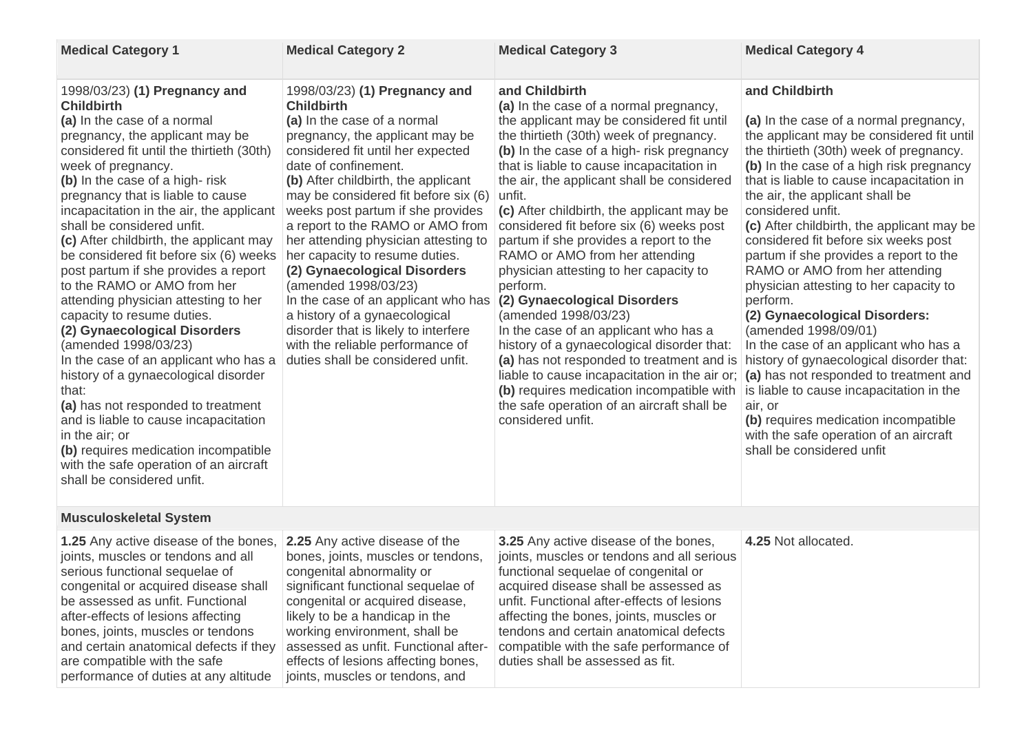| <b>Medical Category 1</b>                                                                                                                                                                                                                                                                                                                                                                                                                                                                                                                                                                                                                                                                                                                                                                                                                                                                                                                     | <b>Medical Category 2</b>                                                                                                                                                                                                                                                                                                                                                                                                                                                                                                                                                                                                                                            | <b>Medical Category 3</b>                                                                                                                                                                                                                                                                                                                                                                                                                                                                                                                                                                                                                                                                                                                                                                                                                                                                                                                 | <b>Medical Category 4</b>                                                                                                                                                                                                                                                                                                                                                                                                                                                                                                                                                                                                                                                                                                                                                                                                                     |
|-----------------------------------------------------------------------------------------------------------------------------------------------------------------------------------------------------------------------------------------------------------------------------------------------------------------------------------------------------------------------------------------------------------------------------------------------------------------------------------------------------------------------------------------------------------------------------------------------------------------------------------------------------------------------------------------------------------------------------------------------------------------------------------------------------------------------------------------------------------------------------------------------------------------------------------------------|----------------------------------------------------------------------------------------------------------------------------------------------------------------------------------------------------------------------------------------------------------------------------------------------------------------------------------------------------------------------------------------------------------------------------------------------------------------------------------------------------------------------------------------------------------------------------------------------------------------------------------------------------------------------|-------------------------------------------------------------------------------------------------------------------------------------------------------------------------------------------------------------------------------------------------------------------------------------------------------------------------------------------------------------------------------------------------------------------------------------------------------------------------------------------------------------------------------------------------------------------------------------------------------------------------------------------------------------------------------------------------------------------------------------------------------------------------------------------------------------------------------------------------------------------------------------------------------------------------------------------|-----------------------------------------------------------------------------------------------------------------------------------------------------------------------------------------------------------------------------------------------------------------------------------------------------------------------------------------------------------------------------------------------------------------------------------------------------------------------------------------------------------------------------------------------------------------------------------------------------------------------------------------------------------------------------------------------------------------------------------------------------------------------------------------------------------------------------------------------|
| 1998/03/23) (1) Pregnancy and<br><b>Childbirth</b><br>(a) In the case of a normal<br>pregnancy, the applicant may be<br>considered fit until the thirtieth (30th)<br>week of pregnancy.<br>(b) In the case of a high-risk<br>pregnancy that is liable to cause<br>incapacitation in the air, the applicant<br>shall be considered unfit.<br>(c) After childbirth, the applicant may<br>be considered fit before six (6) weeks<br>post partum if she provides a report<br>to the RAMO or AMO from her<br>attending physician attesting to her<br>capacity to resume duties.<br>(2) Gynaecological Disorders<br>(amended 1998/03/23)<br>In the case of an applicant who has a<br>history of a gynaecological disorder<br>that:<br>(a) has not responded to treatment<br>and is liable to cause incapacitation<br>in the air; or<br>(b) requires medication incompatible<br>with the safe operation of an aircraft<br>shall be considered unfit. | 1998/03/23) (1) Pregnancy and<br><b>Childbirth</b><br>(a) In the case of a normal<br>pregnancy, the applicant may be<br>considered fit until her expected<br>date of confinement.<br>(b) After childbirth, the applicant<br>may be considered fit before six (6)<br>weeks post partum if she provides<br>a report to the RAMO or AMO from<br>her attending physician attesting to<br>her capacity to resume duties.<br>(2) Gynaecological Disorders<br>(amended 1998/03/23)<br>In the case of an applicant who has<br>a history of a gynaecological<br>disorder that is likely to interfere<br>with the reliable performance of<br>duties shall be considered unfit. | and Childbirth<br>(a) In the case of a normal pregnancy,<br>the applicant may be considered fit until<br>the thirtieth (30th) week of pregnancy.<br>(b) In the case of a high-risk pregnancy<br>that is liable to cause incapacitation in<br>the air, the applicant shall be considered<br>unfit.<br>(c) After childbirth, the applicant may be<br>considered fit before six (6) weeks post<br>partum if she provides a report to the<br>RAMO or AMO from her attending<br>physician attesting to her capacity to<br>perform.<br>(2) Gynaecological Disorders<br>(amended 1998/03/23)<br>In the case of an applicant who has a<br>history of a gynaecological disorder that:<br>(a) has not responded to treatment and is<br>liable to cause incapacitation in the air or; $\vert$ (a) has not responded to treatment and<br>(b) requires medication incompatible with<br>the safe operation of an aircraft shall be<br>considered unfit. | and Childbirth<br>(a) In the case of a normal pregnancy,<br>the applicant may be considered fit until<br>the thirtieth (30th) week of pregnancy.<br>(b) In the case of a high risk pregnancy<br>that is liable to cause incapacitation in<br>the air, the applicant shall be<br>considered unfit.<br>(c) After childbirth, the applicant may be<br>considered fit before six weeks post<br>partum if she provides a report to the<br>RAMO or AMO from her attending<br>physician attesting to her capacity to<br>perform.<br>(2) Gynaecological Disorders:<br>(amended 1998/09/01)<br>In the case of an applicant who has a<br>history of gynaecological disorder that:<br>is liable to cause incapacitation in the<br>air, or<br>(b) requires medication incompatible<br>with the safe operation of an aircraft<br>shall be considered unfit |
| <b>Musculoskeletal System</b>                                                                                                                                                                                                                                                                                                                                                                                                                                                                                                                                                                                                                                                                                                                                                                                                                                                                                                                 |                                                                                                                                                                                                                                                                                                                                                                                                                                                                                                                                                                                                                                                                      |                                                                                                                                                                                                                                                                                                                                                                                                                                                                                                                                                                                                                                                                                                                                                                                                                                                                                                                                           |                                                                                                                                                                                                                                                                                                                                                                                                                                                                                                                                                                                                                                                                                                                                                                                                                                               |
| <b>1.25</b> Any active disease of the bones,<br>joints, muscles or tendons and all<br>serious functional sequelae of<br>congenital or acquired disease shall<br>be assessed as unfit. Functional<br>after-effects of lesions affecting<br>bones, joints, muscles or tendons<br>and certain anatomical defects if they<br>are compatible with the safe<br>performance of duties at any altitude                                                                                                                                                                                                                                                                                                                                                                                                                                                                                                                                                | 2.25 Any active disease of the<br>bones, joints, muscles or tendons,<br>congenital abnormality or<br>significant functional sequelae of<br>congenital or acquired disease,<br>likely to be a handicap in the<br>working environment, shall be<br>assessed as unfit. Functional after-<br>effects of lesions affecting bones,<br>joints, muscles or tendons, and                                                                                                                                                                                                                                                                                                      | <b>3.25</b> Any active disease of the bones,<br>joints, muscles or tendons and all serious<br>functional sequelae of congenital or<br>acquired disease shall be assessed as<br>unfit. Functional after-effects of lesions<br>affecting the bones, joints, muscles or<br>tendons and certain anatomical defects<br>compatible with the safe performance of<br>duties shall be assessed as fit.                                                                                                                                                                                                                                                                                                                                                                                                                                                                                                                                             | 4.25 Not allocated.                                                                                                                                                                                                                                                                                                                                                                                                                                                                                                                                                                                                                                                                                                                                                                                                                           |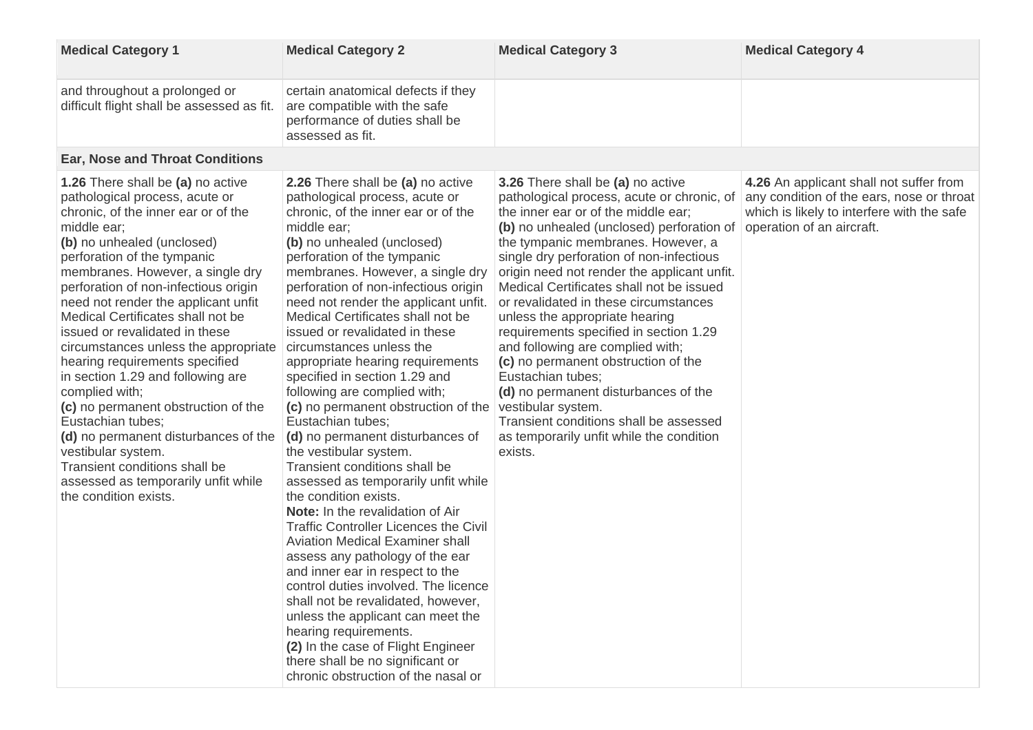| <b>Medical Category 1</b>                                                                                                                                                                                                                                                                                                                                                                                                                                                                                                                                                                                                                                                                                                                    | <b>Medical Category 2</b>                                                                                                                                                                                                                                                                                                                                                                                                                                                                                                                                                                                                                                                                                                                                                                                                                                                                                                                                                                                                                                                                                                                                                                                                    | <b>Medical Category 3</b>                                                                                                                                                                                                                                                                                                                                                                                                                                                                                                                                                                                                                                                                                                            | <b>Medical Category 4</b>                                                                                                                                       |
|----------------------------------------------------------------------------------------------------------------------------------------------------------------------------------------------------------------------------------------------------------------------------------------------------------------------------------------------------------------------------------------------------------------------------------------------------------------------------------------------------------------------------------------------------------------------------------------------------------------------------------------------------------------------------------------------------------------------------------------------|------------------------------------------------------------------------------------------------------------------------------------------------------------------------------------------------------------------------------------------------------------------------------------------------------------------------------------------------------------------------------------------------------------------------------------------------------------------------------------------------------------------------------------------------------------------------------------------------------------------------------------------------------------------------------------------------------------------------------------------------------------------------------------------------------------------------------------------------------------------------------------------------------------------------------------------------------------------------------------------------------------------------------------------------------------------------------------------------------------------------------------------------------------------------------------------------------------------------------|--------------------------------------------------------------------------------------------------------------------------------------------------------------------------------------------------------------------------------------------------------------------------------------------------------------------------------------------------------------------------------------------------------------------------------------------------------------------------------------------------------------------------------------------------------------------------------------------------------------------------------------------------------------------------------------------------------------------------------------|-----------------------------------------------------------------------------------------------------------------------------------------------------------------|
| and throughout a prolonged or<br>difficult flight shall be assessed as fit.                                                                                                                                                                                                                                                                                                                                                                                                                                                                                                                                                                                                                                                                  | certain anatomical defects if they<br>are compatible with the safe<br>performance of duties shall be<br>assessed as fit.                                                                                                                                                                                                                                                                                                                                                                                                                                                                                                                                                                                                                                                                                                                                                                                                                                                                                                                                                                                                                                                                                                     |                                                                                                                                                                                                                                                                                                                                                                                                                                                                                                                                                                                                                                                                                                                                      |                                                                                                                                                                 |
| <b>Ear, Nose and Throat Conditions</b>                                                                                                                                                                                                                                                                                                                                                                                                                                                                                                                                                                                                                                                                                                       |                                                                                                                                                                                                                                                                                                                                                                                                                                                                                                                                                                                                                                                                                                                                                                                                                                                                                                                                                                                                                                                                                                                                                                                                                              |                                                                                                                                                                                                                                                                                                                                                                                                                                                                                                                                                                                                                                                                                                                                      |                                                                                                                                                                 |
| 1.26 There shall be (a) no active<br>pathological process, acute or<br>chronic, of the inner ear or of the<br>middle ear;<br>(b) no unhealed (unclosed)<br>perforation of the tympanic<br>membranes. However, a single dry<br>perforation of non-infectious origin<br>need not render the applicant unfit<br>Medical Certificates shall not be<br>issued or revalidated in these<br>circumstances unless the appropriate<br>hearing requirements specified<br>in section 1.29 and following are<br>complied with;<br>(c) no permanent obstruction of the<br>Eustachian tubes;<br>(d) no permanent disturbances of the<br>vestibular system.<br>Transient conditions shall be<br>assessed as temporarily unfit while<br>the condition exists. | 2.26 There shall be (a) no active<br>pathological process, acute or<br>chronic, of the inner ear or of the<br>middle ear;<br>(b) no unhealed (unclosed)<br>perforation of the tympanic<br>membranes. However, a single dry<br>perforation of non-infectious origin<br>need not render the applicant unfit.<br>Medical Certificates shall not be<br>issued or revalidated in these<br>circumstances unless the<br>appropriate hearing requirements<br>specified in section 1.29 and<br>following are complied with;<br>(c) no permanent obstruction of the<br>Eustachian tubes;<br>(d) no permanent disturbances of<br>the vestibular system.<br><b>Transient conditions shall be</b><br>assessed as temporarily unfit while<br>the condition exists.<br><b>Note:</b> In the revalidation of Air<br><b>Traffic Controller Licences the Civil</b><br><b>Aviation Medical Examiner shall</b><br>assess any pathology of the ear<br>and inner ear in respect to the<br>control duties involved. The licence<br>shall not be revalidated, however,<br>unless the applicant can meet the<br>hearing requirements.<br>(2) In the case of Flight Engineer<br>there shall be no significant or<br>chronic obstruction of the nasal or | 3.26 There shall be (a) no active<br>pathological process, acute or chronic, of<br>the inner ear or of the middle ear;<br>(b) no unhealed (unclosed) perforation of<br>the tympanic membranes. However, a<br>single dry perforation of non-infectious<br>origin need not render the applicant unfit.<br>Medical Certificates shall not be issued<br>or revalidated in these circumstances<br>unless the appropriate hearing<br>requirements specified in section 1.29<br>and following are complied with;<br>(c) no permanent obstruction of the<br>Eustachian tubes;<br>(d) no permanent disturbances of the<br>vestibular system.<br>Transient conditions shall be assessed<br>as temporarily unfit while the condition<br>exists. | 4.26 An applicant shall not suffer from<br>any condition of the ears, nose or throat<br>which is likely to interfere with the safe<br>operation of an aircraft. |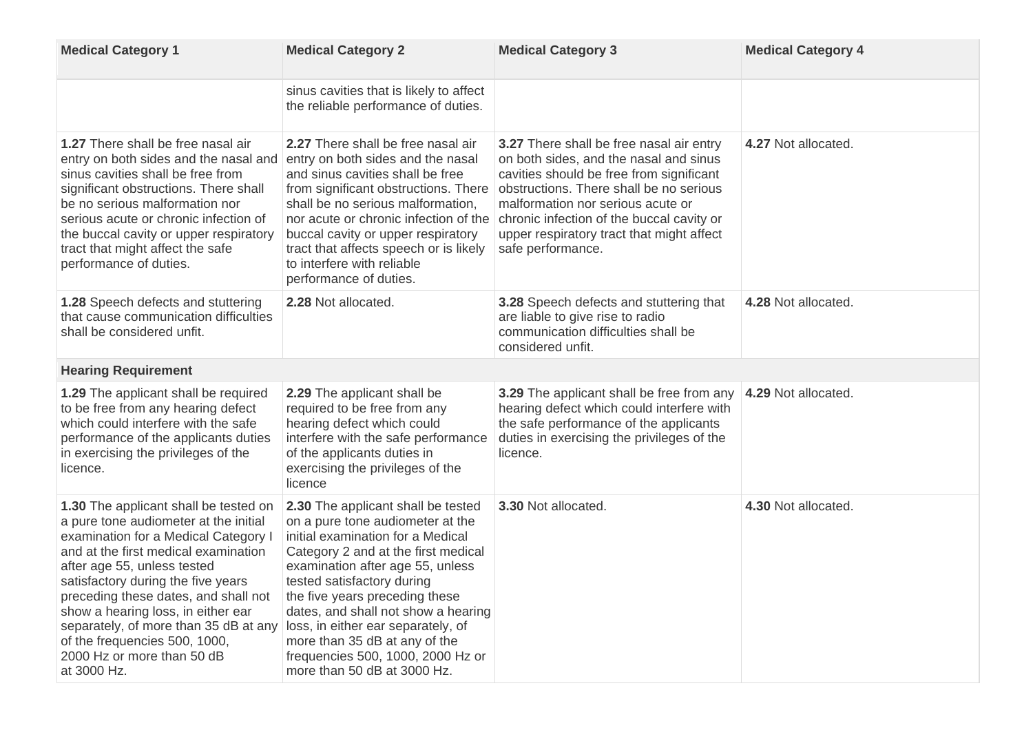| <b>Medical Category 1</b>                                                                                                                                                                                                                                                                                                                                                                                                                       | <b>Medical Category 2</b>                                                                                                                                                                                                                                                                                                                                                                                                                | <b>Medical Category 3</b>                                                                                                                                                                                                                                                                                                            | <b>Medical Category 4</b> |
|-------------------------------------------------------------------------------------------------------------------------------------------------------------------------------------------------------------------------------------------------------------------------------------------------------------------------------------------------------------------------------------------------------------------------------------------------|------------------------------------------------------------------------------------------------------------------------------------------------------------------------------------------------------------------------------------------------------------------------------------------------------------------------------------------------------------------------------------------------------------------------------------------|--------------------------------------------------------------------------------------------------------------------------------------------------------------------------------------------------------------------------------------------------------------------------------------------------------------------------------------|---------------------------|
|                                                                                                                                                                                                                                                                                                                                                                                                                                                 | sinus cavities that is likely to affect<br>the reliable performance of duties.                                                                                                                                                                                                                                                                                                                                                           |                                                                                                                                                                                                                                                                                                                                      |                           |
| <b>1.27</b> There shall be free nasal air<br>entry on both sides and the nasal and<br>sinus cavities shall be free from<br>significant obstructions. There shall<br>be no serious malformation nor<br>serious acute or chronic infection of<br>the buccal cavity or upper respiratory<br>tract that might affect the safe<br>performance of duties.                                                                                             | 2.27 There shall be free nasal air<br>entry on both sides and the nasal<br>and sinus cavities shall be free<br>from significant obstructions. There<br>shall be no serious malformation,<br>nor acute or chronic infection of the<br>buccal cavity or upper respiratory<br>tract that affects speech or is likely<br>to interfere with reliable<br>performance of duties.                                                                | <b>3.27</b> There shall be free nasal air entry<br>on both sides, and the nasal and sinus<br>cavities should be free from significant<br>obstructions. There shall be no serious<br>malformation nor serious acute or<br>chronic infection of the buccal cavity or<br>upper respiratory tract that might affect<br>safe performance. | 4.27 Not allocated.       |
| 1.28 Speech defects and stuttering<br>that cause communication difficulties<br>shall be considered unfit.                                                                                                                                                                                                                                                                                                                                       | 2.28 Not allocated.                                                                                                                                                                                                                                                                                                                                                                                                                      | 3.28 Speech defects and stuttering that<br>are liable to give rise to radio<br>communication difficulties shall be<br>considered unfit.                                                                                                                                                                                              | 4.28 Not allocated.       |
| <b>Hearing Requirement</b>                                                                                                                                                                                                                                                                                                                                                                                                                      |                                                                                                                                                                                                                                                                                                                                                                                                                                          |                                                                                                                                                                                                                                                                                                                                      |                           |
| <b>1.29</b> The applicant shall be required<br>to be free from any hearing defect<br>which could interfere with the safe<br>performance of the applicants duties<br>in exercising the privileges of the<br>licence.                                                                                                                                                                                                                             | <b>2.29</b> The applicant shall be<br>required to be free from any<br>hearing defect which could<br>interfere with the safe performance<br>of the applicants duties in<br>exercising the privileges of the<br>licence                                                                                                                                                                                                                    | <b>3.29</b> The applicant shall be free from any<br>hearing defect which could interfere with<br>the safe performance of the applicants<br>duties in exercising the privileges of the<br>licence.                                                                                                                                    | 4.29 Not allocated.       |
| <b>1.30</b> The applicant shall be tested on<br>a pure tone audiometer at the initial<br>examination for a Medical Category I<br>and at the first medical examination<br>after age 55, unless tested<br>satisfactory during the five years<br>preceding these dates, and shall not<br>show a hearing loss, in either ear<br>separately, of more than 35 dB at any<br>of the frequencies 500, 1000,<br>2000 Hz or more than 50 dB<br>at 3000 Hz. | 2.30 The applicant shall be tested<br>on a pure tone audiometer at the<br>initial examination for a Medical<br>Category 2 and at the first medical<br>examination after age 55, unless<br>tested satisfactory during<br>the five years preceding these<br>dates, and shall not show a hearing<br>loss, in either ear separately, of<br>more than 35 dB at any of the<br>frequencies 500, 1000, 2000 Hz or<br>more than 50 dB at 3000 Hz. | <b>3.30 Not allocated.</b>                                                                                                                                                                                                                                                                                                           | 4.30 Not allocated.       |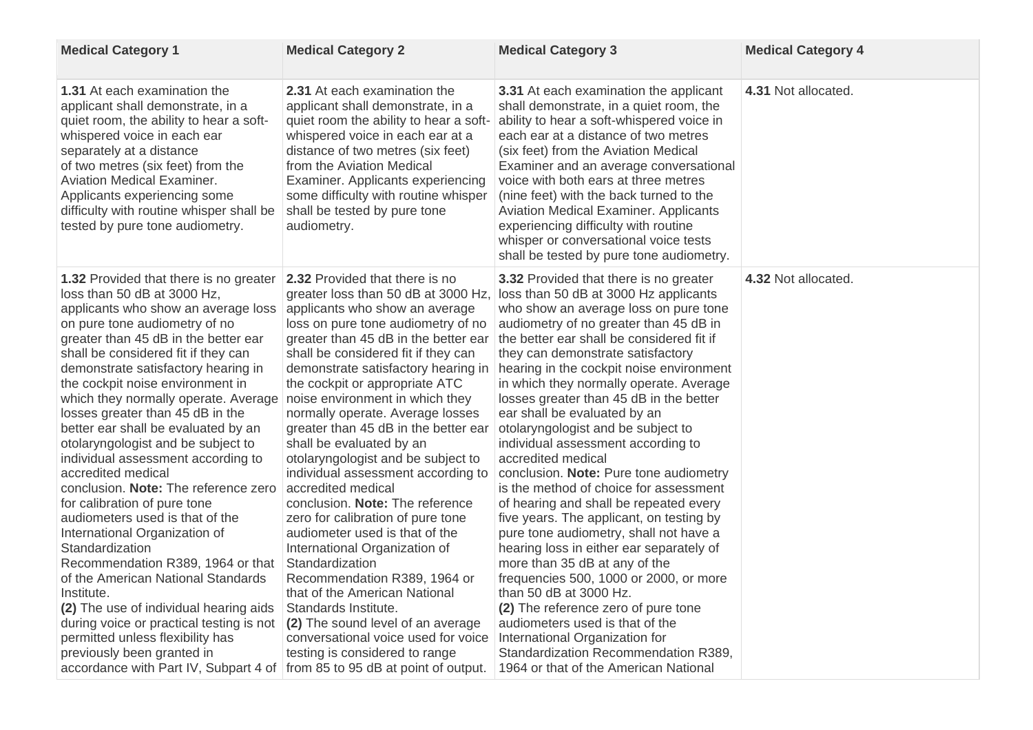| <b>Medical Category 1</b>                                                                                                                                                                                                                                                                                                                                                                                                                                                                                                                                                                                                                                                                                                                                                                                                                                                                                                                                                                                       | <b>Medical Category 2</b>                                                                                                                                                                                                                                                                                                                                                                                                                                                                                                                                                                                                                                                                                                                                                                                                                                                                                                                        | <b>Medical Category 3</b>                                                                                                                                                                                                                                                                                                                                                                                                                                                                                                                                                                                                                                                                                                                                                                                                                                                                                                                                                                                                                                                                         | <b>Medical Category 4</b> |
|-----------------------------------------------------------------------------------------------------------------------------------------------------------------------------------------------------------------------------------------------------------------------------------------------------------------------------------------------------------------------------------------------------------------------------------------------------------------------------------------------------------------------------------------------------------------------------------------------------------------------------------------------------------------------------------------------------------------------------------------------------------------------------------------------------------------------------------------------------------------------------------------------------------------------------------------------------------------------------------------------------------------|--------------------------------------------------------------------------------------------------------------------------------------------------------------------------------------------------------------------------------------------------------------------------------------------------------------------------------------------------------------------------------------------------------------------------------------------------------------------------------------------------------------------------------------------------------------------------------------------------------------------------------------------------------------------------------------------------------------------------------------------------------------------------------------------------------------------------------------------------------------------------------------------------------------------------------------------------|---------------------------------------------------------------------------------------------------------------------------------------------------------------------------------------------------------------------------------------------------------------------------------------------------------------------------------------------------------------------------------------------------------------------------------------------------------------------------------------------------------------------------------------------------------------------------------------------------------------------------------------------------------------------------------------------------------------------------------------------------------------------------------------------------------------------------------------------------------------------------------------------------------------------------------------------------------------------------------------------------------------------------------------------------------------------------------------------------|---------------------------|
| <b>1.31</b> At each examination the<br>applicant shall demonstrate, in a<br>quiet room, the ability to hear a soft-<br>whispered voice in each ear<br>separately at a distance<br>of two metres (six feet) from the<br><b>Aviation Medical Examiner.</b><br>Applicants experiencing some<br>difficulty with routine whisper shall be<br>tested by pure tone audiometry.                                                                                                                                                                                                                                                                                                                                                                                                                                                                                                                                                                                                                                         | 2.31 At each examination the<br>applicant shall demonstrate, in a<br>quiet room the ability to hear a soft-<br>whispered voice in each ear at a<br>distance of two metres (six feet)<br>from the Aviation Medical<br>Examiner. Applicants experiencing<br>some difficulty with routine whisper<br>shall be tested by pure tone<br>audiometry.                                                                                                                                                                                                                                                                                                                                                                                                                                                                                                                                                                                                    | <b>3.31</b> At each examination the applicant<br>shall demonstrate, in a quiet room, the<br>ability to hear a soft-whispered voice in<br>each ear at a distance of two metres<br>(six feet) from the Aviation Medical<br>Examiner and an average conversational<br>voice with both ears at three metres<br>(nine feet) with the back turned to the<br><b>Aviation Medical Examiner. Applicants</b><br>experiencing difficulty with routine<br>whisper or conversational voice tests<br>shall be tested by pure tone audiometry.                                                                                                                                                                                                                                                                                                                                                                                                                                                                                                                                                                   | 4.31 Not allocated.       |
| <b>1.32 Provided that there is no greater</b><br>loss than 50 dB at 3000 Hz,<br>applicants who show an average loss<br>on pure tone audiometry of no<br>greater than 45 dB in the better ear<br>shall be considered fit if they can<br>demonstrate satisfactory hearing in<br>the cockpit noise environment in<br>which they normally operate. Average<br>losses greater than 45 dB in the<br>better ear shall be evaluated by an<br>otolaryngologist and be subject to<br>individual assessment according to<br>accredited medical<br>conclusion. Note: The reference zero accredited medical<br>for calibration of pure tone<br>audiometers used is that of the<br>International Organization of<br>Standardization<br>Recommendation R389, 1964 or that<br>of the American National Standards<br>Institute.<br>(2) The use of individual hearing aids<br>during voice or practical testing is not<br>permitted unless flexibility has<br>previously been granted in<br>accordance with Part IV, Subpart 4 of | <b>2.32 Provided that there is no</b><br>greater loss than 50 dB at 3000 Hz,<br>applicants who show an average<br>loss on pure tone audiometry of no<br>greater than 45 dB in the better ear<br>shall be considered fit if they can<br>demonstrate satisfactory hearing in<br>the cockpit or appropriate ATC<br>noise environment in which they<br>normally operate. Average losses<br>greater than 45 dB in the better ear<br>shall be evaluated by an<br>otolaryngologist and be subject to<br>individual assessment according to<br>conclusion. Note: The reference<br>zero for calibration of pure tone<br>audiometer used is that of the<br>International Organization of<br>Standardization<br>Recommendation R389, 1964 or<br>that of the American National<br>Standards Institute.<br>(2) The sound level of an average<br>conversational voice used for voice<br>testing is considered to range<br>from 85 to 95 dB at point of output. | <b>3.32 Provided that there is no greater</b><br>loss than 50 dB at 3000 Hz applicants<br>who show an average loss on pure tone<br>audiometry of no greater than 45 dB in<br>the better ear shall be considered fit if<br>they can demonstrate satisfactory<br>hearing in the cockpit noise environment<br>in which they normally operate. Average<br>losses greater than 45 dB in the better<br>ear shall be evaluated by an<br>otolaryngologist and be subject to<br>individual assessment according to<br>accredited medical<br>conclusion. Note: Pure tone audiometry<br>is the method of choice for assessment<br>of hearing and shall be repeated every<br>five years. The applicant, on testing by<br>pure tone audiometry, shall not have a<br>hearing loss in either ear separately of<br>more than 35 dB at any of the<br>frequencies 500, 1000 or 2000, or more<br>than 50 dB at 3000 Hz.<br>(2) The reference zero of pure tone<br>audiometers used is that of the<br>International Organization for<br>Standardization Recommendation R389,<br>1964 or that of the American National | 4.32 Not allocated.       |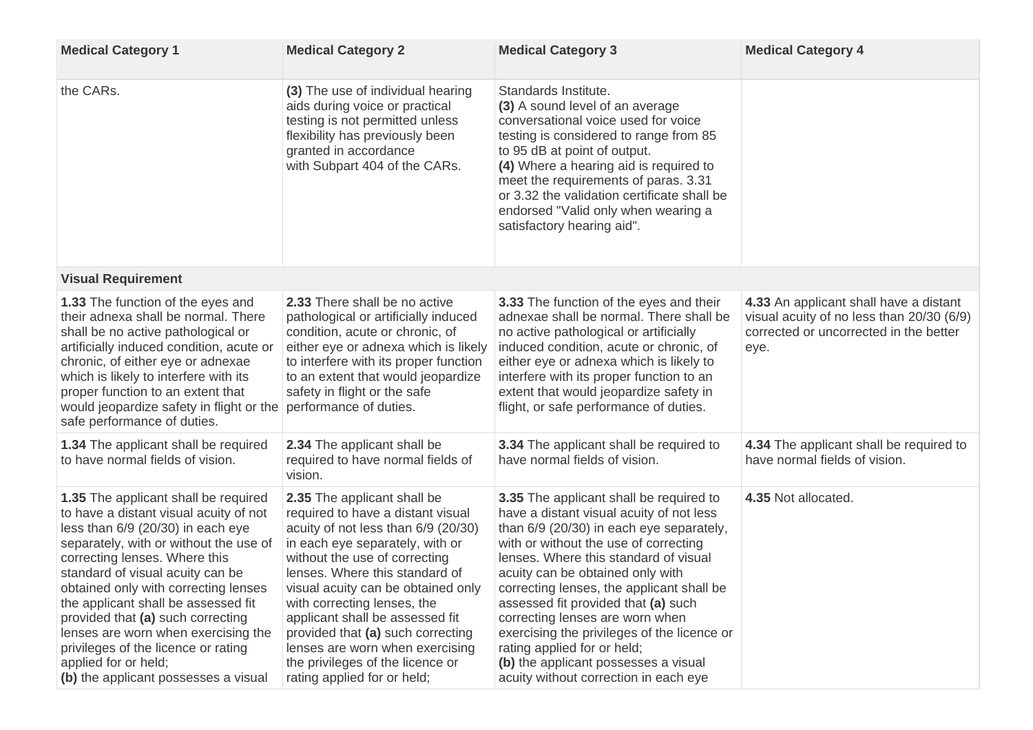| <b>Medical Category 1</b>                                                                                                                                                                                                                                                                                                                                                                                                                                                                                   | <b>Medical Category 2</b>                                                                                                                                                                                                                                                                                                                                                                                                                                               | <b>Medical Category 3</b>                                                                                                                                                                                                                                                                                                                                                                                                                                                                                                                          | <b>Medical Category 4</b>                                                                                                             |
|-------------------------------------------------------------------------------------------------------------------------------------------------------------------------------------------------------------------------------------------------------------------------------------------------------------------------------------------------------------------------------------------------------------------------------------------------------------------------------------------------------------|-------------------------------------------------------------------------------------------------------------------------------------------------------------------------------------------------------------------------------------------------------------------------------------------------------------------------------------------------------------------------------------------------------------------------------------------------------------------------|----------------------------------------------------------------------------------------------------------------------------------------------------------------------------------------------------------------------------------------------------------------------------------------------------------------------------------------------------------------------------------------------------------------------------------------------------------------------------------------------------------------------------------------------------|---------------------------------------------------------------------------------------------------------------------------------------|
| the CARs.                                                                                                                                                                                                                                                                                                                                                                                                                                                                                                   | (3) The use of individual hearing<br>aids during voice or practical<br>testing is not permitted unless<br>flexibility has previously been<br>granted in accordance<br>with Subpart 404 of the CARs.                                                                                                                                                                                                                                                                     | Standards Institute.<br>(3) A sound level of an average<br>conversational voice used for voice<br>testing is considered to range from 85<br>to 95 dB at point of output.<br>(4) Where a hearing aid is required to<br>meet the requirements of paras. 3.31<br>or 3.32 the validation certificate shall be<br>endorsed "Valid only when wearing a<br>satisfactory hearing aid".                                                                                                                                                                     |                                                                                                                                       |
| <b>Visual Requirement</b>                                                                                                                                                                                                                                                                                                                                                                                                                                                                                   |                                                                                                                                                                                                                                                                                                                                                                                                                                                                         |                                                                                                                                                                                                                                                                                                                                                                                                                                                                                                                                                    |                                                                                                                                       |
| <b>1.33</b> The function of the eyes and<br>their adnexa shall be normal. There<br>shall be no active pathological or<br>artificially induced condition, acute or<br>chronic, of either eye or adnexae<br>which is likely to interfere with its<br>proper function to an extent that<br>would jeopardize safety in flight or the<br>safe performance of duties.                                                                                                                                             | 2.33 There shall be no active<br>pathological or artificially induced<br>condition, acute or chronic, of<br>either eye or adnexa which is likely<br>to interfere with its proper function<br>to an extent that would jeopardize<br>safety in flight or the safe<br>performance of duties.                                                                                                                                                                               | <b>3.33</b> The function of the eyes and their<br>adnexae shall be normal. There shall be<br>no active pathological or artificially<br>induced condition, acute or chronic, of<br>either eye or adnexa which is likely to<br>interfere with its proper function to an<br>extent that would jeopardize safety in<br>flight, or safe performance of duties.                                                                                                                                                                                          | 4.33 An applicant shall have a distant<br>visual acuity of no less than 20/30 (6/9)<br>corrected or uncorrected in the better<br>eye. |
| <b>1.34</b> The applicant shall be required<br>to have normal fields of vision.                                                                                                                                                                                                                                                                                                                                                                                                                             | <b>2.34 The applicant shall be</b><br>required to have normal fields of<br>vision.                                                                                                                                                                                                                                                                                                                                                                                      | <b>3.34</b> The applicant shall be required to<br>have normal fields of vision.                                                                                                                                                                                                                                                                                                                                                                                                                                                                    | 4.34 The applicant shall be required to<br>have normal fields of vision.                                                              |
| <b>1.35</b> The applicant shall be required<br>to have a distant visual acuity of not<br>less than 6/9 (20/30) in each eye<br>separately, with or without the use of<br>correcting lenses. Where this<br>standard of visual acuity can be<br>obtained only with correcting lenses<br>the applicant shall be assessed fit<br>provided that (a) such correcting<br>lenses are worn when exercising the<br>privileges of the licence or rating<br>applied for or held;<br>(b) the applicant possesses a visual | <b>2.35</b> The applicant shall be<br>required to have a distant visual<br>acuity of not less than 6/9 (20/30)<br>in each eye separately, with or<br>without the use of correcting<br>lenses. Where this standard of<br>visual acuity can be obtained only<br>with correcting lenses, the<br>applicant shall be assessed fit<br>provided that (a) such correcting<br>lenses are worn when exercising<br>the privileges of the licence or<br>rating applied for or held; | <b>3.35</b> The applicant shall be required to<br>have a distant visual acuity of not less<br>than 6/9 (20/30) in each eye separately,<br>with or without the use of correcting<br>lenses. Where this standard of visual<br>acuity can be obtained only with<br>correcting lenses, the applicant shall be<br>assessed fit provided that (a) such<br>correcting lenses are worn when<br>exercising the privileges of the licence or<br>rating applied for or held;<br>(b) the applicant possesses a visual<br>acuity without correction in each eye | 4.35 Not allocated.                                                                                                                   |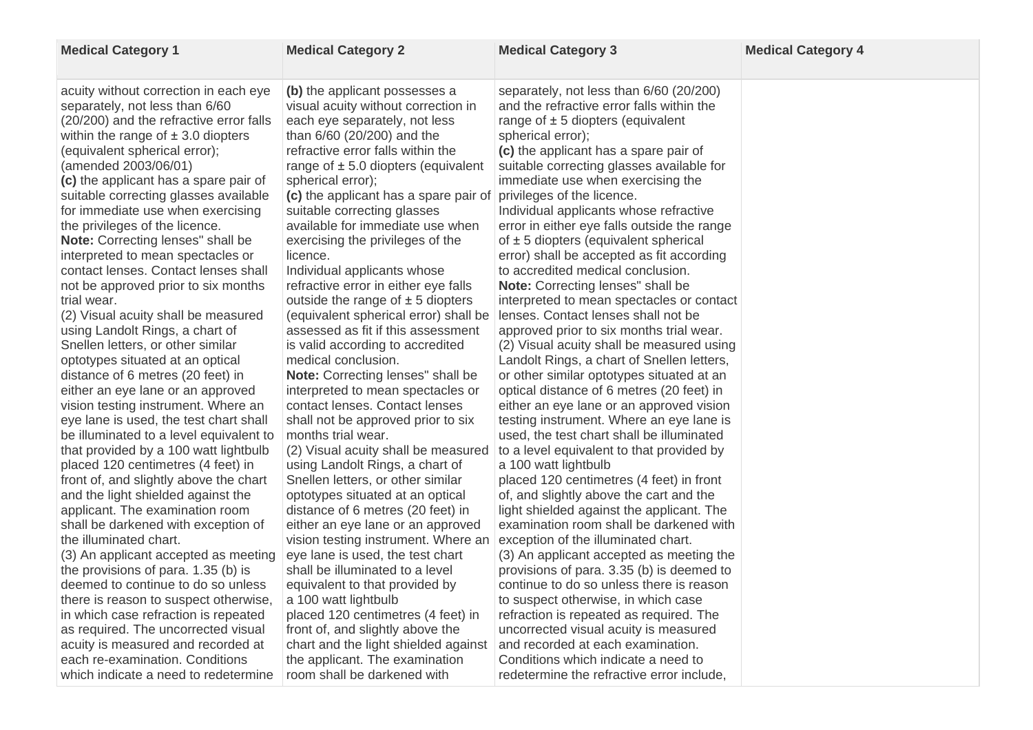| <b>Medical Category 1</b>                                                                                                                                                                                                                                                                                                                                                                                                                                                                                                                                                                                                                                                                                                                                                                                                                                                                                                                                                                                                                                                                                                                                                                                                                                                                                                                                                                                                                                                                                                                               | <b>Medical Category 2</b>                                                                                                                                                                                                                                                                                                                                                                                                                                                                                                                                                                                                                                                                                                                                                                                                                                                                                                                                                                                                                                                                                                                                                                                                                                                                                                                                                                                                                                        | <b>Medical Category 3</b>                                                                                                                                                                                                                                                                                                                                                                                                                                                                                                                                                                                                                                                                                                                                                                                                                                                                                                                                                                                                                                                                                                                                                                                                                                                                                                                                                                                                                                                                                                                                                                                                                                                                | <b>Medical Category 4</b> |
|---------------------------------------------------------------------------------------------------------------------------------------------------------------------------------------------------------------------------------------------------------------------------------------------------------------------------------------------------------------------------------------------------------------------------------------------------------------------------------------------------------------------------------------------------------------------------------------------------------------------------------------------------------------------------------------------------------------------------------------------------------------------------------------------------------------------------------------------------------------------------------------------------------------------------------------------------------------------------------------------------------------------------------------------------------------------------------------------------------------------------------------------------------------------------------------------------------------------------------------------------------------------------------------------------------------------------------------------------------------------------------------------------------------------------------------------------------------------------------------------------------------------------------------------------------|------------------------------------------------------------------------------------------------------------------------------------------------------------------------------------------------------------------------------------------------------------------------------------------------------------------------------------------------------------------------------------------------------------------------------------------------------------------------------------------------------------------------------------------------------------------------------------------------------------------------------------------------------------------------------------------------------------------------------------------------------------------------------------------------------------------------------------------------------------------------------------------------------------------------------------------------------------------------------------------------------------------------------------------------------------------------------------------------------------------------------------------------------------------------------------------------------------------------------------------------------------------------------------------------------------------------------------------------------------------------------------------------------------------------------------------------------------------|------------------------------------------------------------------------------------------------------------------------------------------------------------------------------------------------------------------------------------------------------------------------------------------------------------------------------------------------------------------------------------------------------------------------------------------------------------------------------------------------------------------------------------------------------------------------------------------------------------------------------------------------------------------------------------------------------------------------------------------------------------------------------------------------------------------------------------------------------------------------------------------------------------------------------------------------------------------------------------------------------------------------------------------------------------------------------------------------------------------------------------------------------------------------------------------------------------------------------------------------------------------------------------------------------------------------------------------------------------------------------------------------------------------------------------------------------------------------------------------------------------------------------------------------------------------------------------------------------------------------------------------------------------------------------------------|---------------------------|
| acuity without correction in each eye<br>separately, not less than 6/60<br>(20/200) and the refractive error falls<br>within the range of $\pm$ 3.0 diopters<br>(equivalent spherical error);<br>(amended 2003/06/01)<br>(c) the applicant has a spare pair of<br>suitable correcting glasses available<br>for immediate use when exercising<br>the privileges of the licence.<br><b>Note:</b> Correcting lenses" shall be<br>interpreted to mean spectacles or<br>contact lenses. Contact lenses shall<br>not be approved prior to six months<br>trial wear.<br>(2) Visual acuity shall be measured<br>using Landolt Rings, a chart of<br>Snellen letters, or other similar<br>optotypes situated at an optical<br>distance of 6 metres (20 feet) in<br>either an eye lane or an approved<br>vision testing instrument. Where an<br>eye lane is used, the test chart shall<br>be illuminated to a level equivalent to<br>that provided by a 100 watt lightbulb<br>placed 120 centimetres (4 feet) in<br>front of, and slightly above the chart<br>and the light shielded against the<br>applicant. The examination room<br>shall be darkened with exception of<br>the illuminated chart.<br>(3) An applicant accepted as meeting<br>the provisions of para. 1.35 (b) is<br>deemed to continue to do so unless<br>there is reason to suspect otherwise,<br>in which case refraction is repeated<br>as required. The uncorrected visual<br>acuity is measured and recorded at<br>each re-examination. Conditions<br>which indicate a need to redetermine | (b) the applicant possesses a<br>visual acuity without correction in<br>each eye separately, not less<br>than 6/60 (20/200) and the<br>refractive error falls within the<br>range of $\pm$ 5.0 diopters (equivalent<br>spherical error);<br>(c) the applicant has a spare pair of privileges of the licence.<br>suitable correcting glasses<br>available for immediate use when<br>exercising the privileges of the<br>licence.<br>Individual applicants whose<br>refractive error in either eye falls<br>outside the range of $\pm$ 5 diopters<br>(equivalent spherical error) shall be<br>assessed as fit if this assessment<br>is valid according to accredited<br>medical conclusion.<br><b>Note:</b> Correcting lenses" shall be<br>interpreted to mean spectacles or<br>contact lenses. Contact lenses<br>shall not be approved prior to six<br>months trial wear.<br>(2) Visual acuity shall be measured<br>using Landolt Rings, a chart of<br>Snellen letters, or other similar<br>optotypes situated at an optical<br>distance of 6 metres (20 feet) in<br>either an eye lane or an approved<br>vision testing instrument. Where an<br>eye lane is used, the test chart<br>shall be illuminated to a level<br>equivalent to that provided by<br>a 100 watt lightbulb<br>placed 120 centimetres (4 feet) in<br>front of, and slightly above the<br>chart and the light shielded against<br>the applicant. The examination<br>room shall be darkened with | separately, not less than 6/60 (20/200)<br>and the refractive error falls within the<br>range of $\pm$ 5 diopters (equivalent<br>spherical error);<br>(c) the applicant has a spare pair of<br>suitable correcting glasses available for<br>immediate use when exercising the<br>Individual applicants whose refractive<br>error in either eye falls outside the range<br>of $\pm$ 5 diopters (equivalent spherical<br>error) shall be accepted as fit according<br>to accredited medical conclusion.<br>Note: Correcting lenses" shall be<br>interpreted to mean spectacles or contact<br>lenses. Contact lenses shall not be<br>approved prior to six months trial wear.<br>(2) Visual acuity shall be measured using<br>Landolt Rings, a chart of Snellen letters,<br>or other similar optotypes situated at an<br>optical distance of 6 metres (20 feet) in<br>either an eye lane or an approved vision<br>testing instrument. Where an eye lane is<br>used, the test chart shall be illuminated<br>to a level equivalent to that provided by<br>a 100 watt lightbulb<br>placed 120 centimetres (4 feet) in front<br>of, and slightly above the cart and the<br>light shielded against the applicant. The<br>examination room shall be darkened with<br>exception of the illuminated chart.<br>(3) An applicant accepted as meeting the<br>provisions of para. 3.35 (b) is deemed to<br>continue to do so unless there is reason<br>to suspect otherwise, in which case<br>refraction is repeated as required. The<br>uncorrected visual acuity is measured<br>and recorded at each examination.<br>Conditions which indicate a need to<br>redetermine the refractive error include, |                           |
|                                                                                                                                                                                                                                                                                                                                                                                                                                                                                                                                                                                                                                                                                                                                                                                                                                                                                                                                                                                                                                                                                                                                                                                                                                                                                                                                                                                                                                                                                                                                                         |                                                                                                                                                                                                                                                                                                                                                                                                                                                                                                                                                                                                                                                                                                                                                                                                                                                                                                                                                                                                                                                                                                                                                                                                                                                                                                                                                                                                                                                                  |                                                                                                                                                                                                                                                                                                                                                                                                                                                                                                                                                                                                                                                                                                                                                                                                                                                                                                                                                                                                                                                                                                                                                                                                                                                                                                                                                                                                                                                                                                                                                                                                                                                                                          |                           |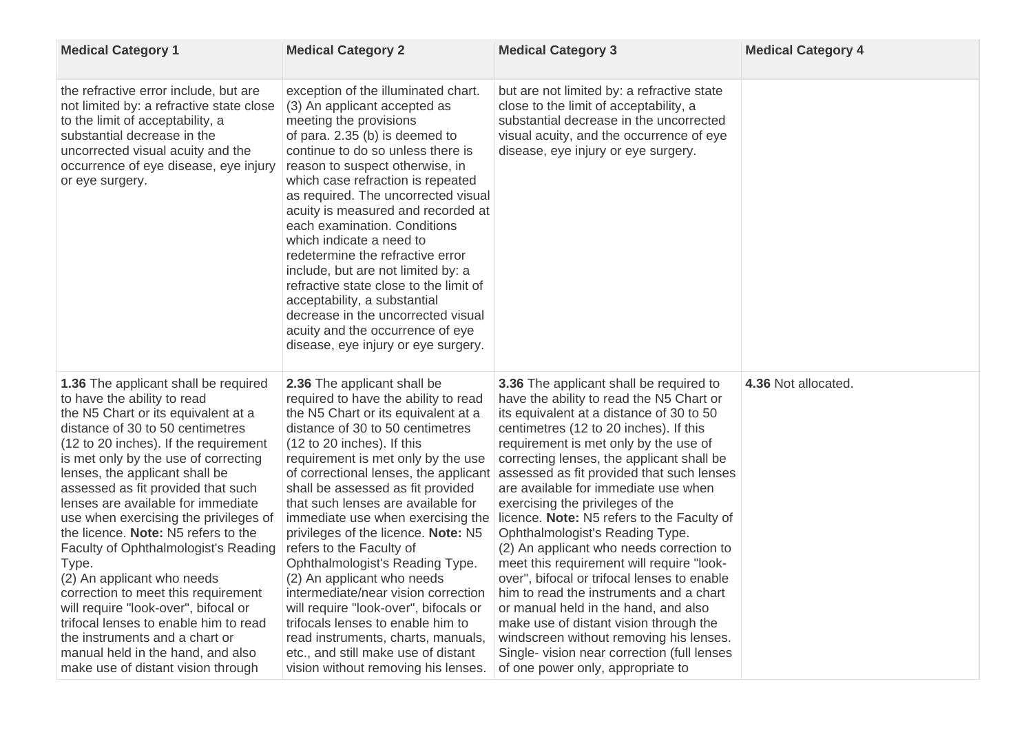| <b>Medical Category 1</b>                                                                                                                                                                                                                                                                                                                                                                                                                                                                                                                                                                                                                                                                                                                                       | <b>Medical Category 2</b>                                                                                                                                                                                                                                                                                                                                                                                                                                                                                                                                                                                                                                                                                                           | <b>Medical Category 3</b>                                                                                                                                                                                                                                                                                                                                                                                                                                                                                                                                                                                                                                                                                                                                                                                                                                                                                                         | <b>Medical Category 4</b> |
|-----------------------------------------------------------------------------------------------------------------------------------------------------------------------------------------------------------------------------------------------------------------------------------------------------------------------------------------------------------------------------------------------------------------------------------------------------------------------------------------------------------------------------------------------------------------------------------------------------------------------------------------------------------------------------------------------------------------------------------------------------------------|-------------------------------------------------------------------------------------------------------------------------------------------------------------------------------------------------------------------------------------------------------------------------------------------------------------------------------------------------------------------------------------------------------------------------------------------------------------------------------------------------------------------------------------------------------------------------------------------------------------------------------------------------------------------------------------------------------------------------------------|-----------------------------------------------------------------------------------------------------------------------------------------------------------------------------------------------------------------------------------------------------------------------------------------------------------------------------------------------------------------------------------------------------------------------------------------------------------------------------------------------------------------------------------------------------------------------------------------------------------------------------------------------------------------------------------------------------------------------------------------------------------------------------------------------------------------------------------------------------------------------------------------------------------------------------------|---------------------------|
| the refractive error include, but are<br>not limited by: a refractive state close<br>to the limit of acceptability, a<br>substantial decrease in the<br>uncorrected visual acuity and the<br>occurrence of eye disease, eye injury<br>or eye surgery.                                                                                                                                                                                                                                                                                                                                                                                                                                                                                                           | exception of the illuminated chart.<br>(3) An applicant accepted as<br>meeting the provisions<br>of para. 2.35 (b) is deemed to<br>continue to do so unless there is<br>reason to suspect otherwise, in<br>which case refraction is repeated<br>as required. The uncorrected visual<br>acuity is measured and recorded at<br>each examination. Conditions<br>which indicate a need to<br>redetermine the refractive error<br>include, but are not limited by: a<br>refractive state close to the limit of<br>acceptability, a substantial<br>decrease in the uncorrected visual<br>acuity and the occurrence of eye<br>disease, eye injury or eye surgery.                                                                          | but are not limited by: a refractive state<br>close to the limit of acceptability, a<br>substantial decrease in the uncorrected<br>visual acuity, and the occurrence of eye<br>disease, eye injury or eye surgery.                                                                                                                                                                                                                                                                                                                                                                                                                                                                                                                                                                                                                                                                                                                |                           |
| <b>1.36</b> The applicant shall be required<br>to have the ability to read<br>the N5 Chart or its equivalent at a<br>distance of 30 to 50 centimetres<br>(12 to 20 inches). If the requirement<br>is met only by the use of correcting<br>lenses, the applicant shall be<br>assessed as fit provided that such<br>lenses are available for immediate<br>use when exercising the privileges of<br>the licence. Note: N5 refers to the<br><b>Faculty of Ophthalmologist's Reading</b><br>Type.<br>(2) An applicant who needs<br>correction to meet this requirement<br>will require "look-over", bifocal or<br>trifocal lenses to enable him to read<br>the instruments and a chart or<br>manual held in the hand, and also<br>make use of distant vision through | 2.36 The applicant shall be<br>required to have the ability to read<br>the N5 Chart or its equivalent at a<br>distance of 30 to 50 centimetres<br>$(12 \text{ to } 20 \text{ inches})$ . If this<br>requirement is met only by the use<br>shall be assessed as fit provided<br>that such lenses are available for<br>immediate use when exercising the<br>privileges of the licence. Note: N5<br>refers to the Faculty of<br>Ophthalmologist's Reading Type.<br>(2) An applicant who needs<br>intermediate/near vision correction<br>will require "look-over", bifocals or<br>trifocals lenses to enable him to<br>read instruments, charts, manuals,<br>etc., and still make use of distant<br>vision without removing his lenses. | <b>3.36</b> The applicant shall be required to<br>have the ability to read the N5 Chart or<br>its equivalent at a distance of 30 to 50<br>centimetres (12 to 20 inches). If this<br>requirement is met only by the use of<br>correcting lenses, the applicant shall be<br>of correctional lenses, the applicant assessed as fit provided that such lenses<br>are available for immediate use when<br>exercising the privileges of the<br>licence. <b>Note:</b> N5 refers to the Faculty of<br>Ophthalmologist's Reading Type.<br>(2) An applicant who needs correction to<br>meet this requirement will require "look-<br>over", bifocal or trifocal lenses to enable<br>him to read the instruments and a chart<br>or manual held in the hand, and also<br>make use of distant vision through the<br>windscreen without removing his lenses.<br>Single- vision near correction (full lenses<br>of one power only, appropriate to | 4.36 Not allocated.       |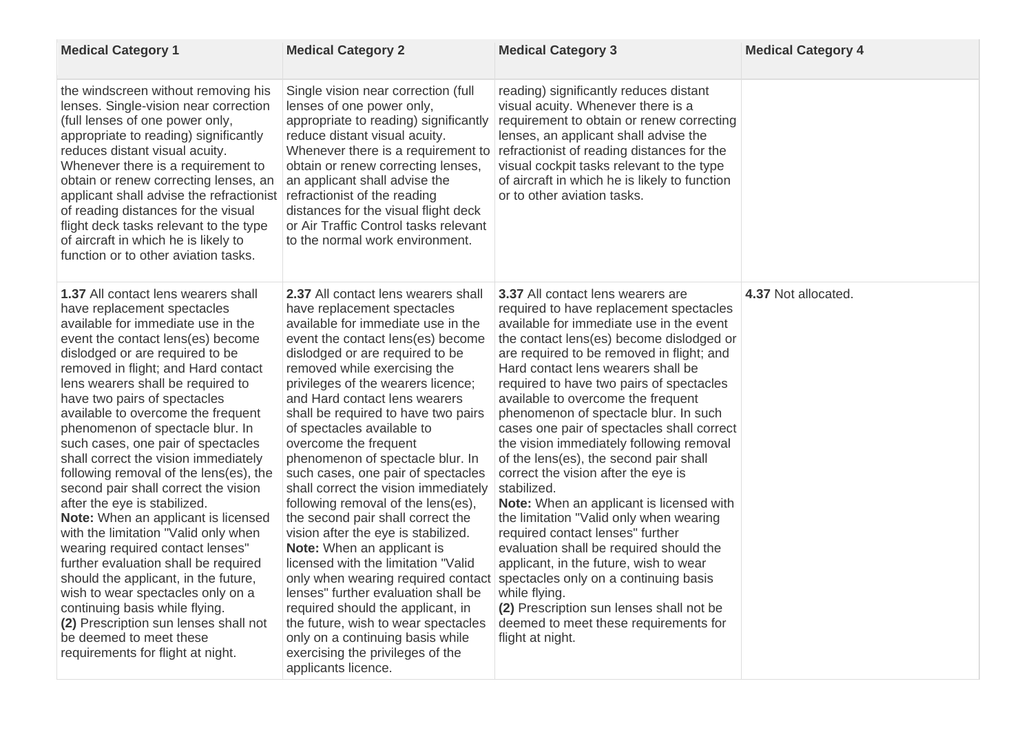| <b>Medical Category 1</b>                                                                                                                                                                                                                                                                                                                                                                                                                                                                                                                                                                                                                                                                                                                                                                                                                                                                                                                                               | <b>Medical Category 2</b>                                                                                                                                                                                                                                                                                                                                                                                                                                                                                                                                                                                                                                                                                                                                                                                                                                                                                                                                            | <b>Medical Category 3</b>                                                                                                                                                                                                                                                                                                                                                                                                                                                                                                                                                                                                                                                                                                                                                                                                                                                                                                                                                     | <b>Medical Category 4</b> |
|-------------------------------------------------------------------------------------------------------------------------------------------------------------------------------------------------------------------------------------------------------------------------------------------------------------------------------------------------------------------------------------------------------------------------------------------------------------------------------------------------------------------------------------------------------------------------------------------------------------------------------------------------------------------------------------------------------------------------------------------------------------------------------------------------------------------------------------------------------------------------------------------------------------------------------------------------------------------------|----------------------------------------------------------------------------------------------------------------------------------------------------------------------------------------------------------------------------------------------------------------------------------------------------------------------------------------------------------------------------------------------------------------------------------------------------------------------------------------------------------------------------------------------------------------------------------------------------------------------------------------------------------------------------------------------------------------------------------------------------------------------------------------------------------------------------------------------------------------------------------------------------------------------------------------------------------------------|-------------------------------------------------------------------------------------------------------------------------------------------------------------------------------------------------------------------------------------------------------------------------------------------------------------------------------------------------------------------------------------------------------------------------------------------------------------------------------------------------------------------------------------------------------------------------------------------------------------------------------------------------------------------------------------------------------------------------------------------------------------------------------------------------------------------------------------------------------------------------------------------------------------------------------------------------------------------------------|---------------------------|
| the windscreen without removing his<br>lenses. Single-vision near correction<br>(full lenses of one power only,<br>appropriate to reading) significantly<br>reduces distant visual acuity.<br>Whenever there is a requirement to<br>obtain or renew correcting lenses, an<br>applicant shall advise the refractionist<br>of reading distances for the visual<br>flight deck tasks relevant to the type<br>of aircraft in which he is likely to<br>function or to other aviation tasks.                                                                                                                                                                                                                                                                                                                                                                                                                                                                                  | Single vision near correction (full<br>lenses of one power only,<br>appropriate to reading) significantly<br>reduce distant visual acuity.<br>Whenever there is a requirement to<br>obtain or renew correcting lenses,<br>an applicant shall advise the<br>refractionist of the reading<br>distances for the visual flight deck<br>or Air Traffic Control tasks relevant<br>to the normal work environment.                                                                                                                                                                                                                                                                                                                                                                                                                                                                                                                                                          | reading) significantly reduces distant<br>visual acuity. Whenever there is a<br>requirement to obtain or renew correcting<br>lenses, an applicant shall advise the<br>refractionist of reading distances for the<br>visual cockpit tasks relevant to the type<br>of aircraft in which he is likely to function<br>or to other aviation tasks.                                                                                                                                                                                                                                                                                                                                                                                                                                                                                                                                                                                                                                 |                           |
| <b>1.37 All contact lens wearers shall</b><br>have replacement spectacles<br>available for immediate use in the<br>event the contact lens(es) become<br>dislodged or are required to be<br>removed in flight; and Hard contact<br>lens wearers shall be required to<br>have two pairs of spectacles<br>available to overcome the frequent<br>phenomenon of spectacle blur. In<br>such cases, one pair of spectacles<br>shall correct the vision immediately<br>following removal of the lens(es), the<br>second pair shall correct the vision<br>after the eye is stabilized.<br><b>Note:</b> When an applicant is licensed<br>with the limitation "Valid only when<br>wearing required contact lenses"<br>further evaluation shall be required<br>should the applicant, in the future,<br>wish to wear spectacles only on a<br>continuing basis while flying.<br>(2) Prescription sun lenses shall not<br>be deemed to meet these<br>requirements for flight at night. | <b>2.37 All contact lens wearers shall</b><br>have replacement spectacles<br>available for immediate use in the<br>event the contact lens(es) become<br>dislodged or are required to be<br>removed while exercising the<br>privileges of the wearers licence;<br>and Hard contact lens wearers<br>shall be required to have two pairs<br>of spectacles available to<br>overcome the frequent<br>phenomenon of spectacle blur. In<br>such cases, one pair of spectacles<br>shall correct the vision immediately<br>following removal of the lens(es),<br>the second pair shall correct the<br>vision after the eye is stabilized.<br><b>Note:</b> When an applicant is<br>licensed with the limitation "Valid<br>only when wearing required contact<br>lenses" further evaluation shall be<br>required should the applicant, in<br>the future, wish to wear spectacles<br>only on a continuing basis while<br>exercising the privileges of the<br>applicants licence. | <b>3.37 All contact lens wearers are</b><br>required to have replacement spectacles<br>available for immediate use in the event<br>the contact lens(es) become dislodged or<br>are required to be removed in flight; and<br>Hard contact lens wearers shall be<br>required to have two pairs of spectacles<br>available to overcome the frequent<br>phenomenon of spectacle blur. In such<br>cases one pair of spectacles shall correct<br>the vision immediately following removal<br>of the lens(es), the second pair shall<br>correct the vision after the eye is<br>stabilized.<br><b>Note:</b> When an applicant is licensed with<br>the limitation "Valid only when wearing<br>required contact lenses" further<br>evaluation shall be required should the<br>applicant, in the future, wish to wear<br>spectacles only on a continuing basis<br>while flying.<br>(2) Prescription sun lenses shall not be<br>deemed to meet these requirements for<br>flight at night. | 4.37 Not allocated.       |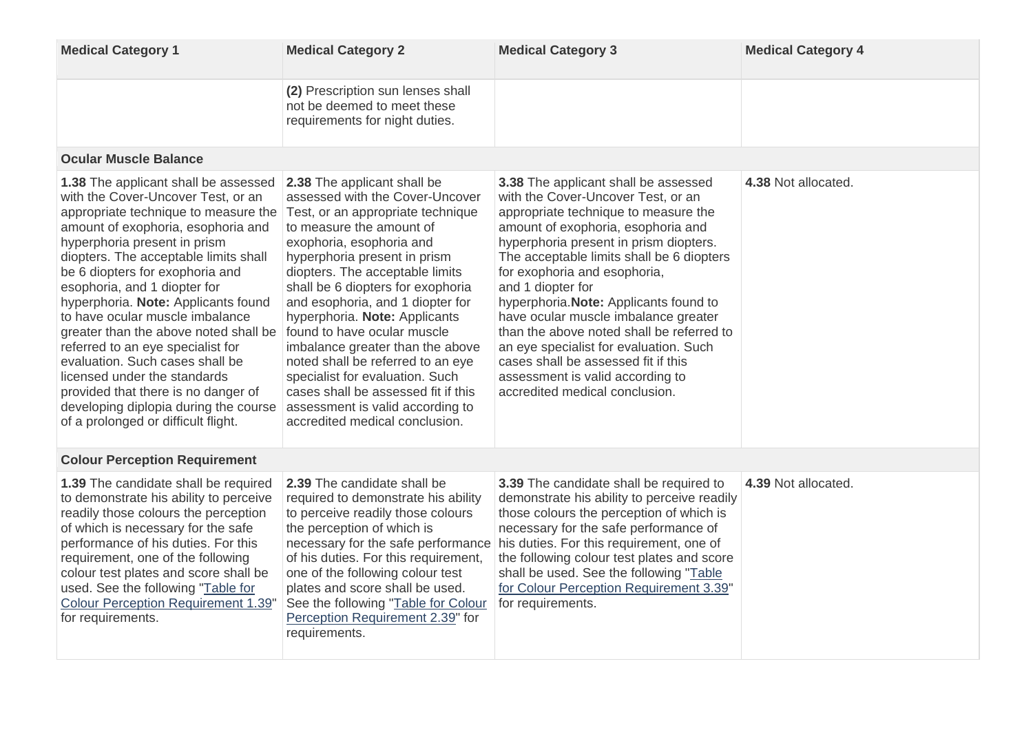| <b>Medical Category 1</b>                                                                                                                                                                                                                                                                                                                                                                                                                                                                                                                                                                                                                                     | <b>Medical Category 2</b>                                                                                                                                                                                                                                                                                                                                                                                                                                                                                                                                                                        | <b>Medical Category 3</b>                                                                                                                                                                                                                                                                                                                                                                                                                                                                                                                                                                         | <b>Medical Category 4</b> |
|---------------------------------------------------------------------------------------------------------------------------------------------------------------------------------------------------------------------------------------------------------------------------------------------------------------------------------------------------------------------------------------------------------------------------------------------------------------------------------------------------------------------------------------------------------------------------------------------------------------------------------------------------------------|--------------------------------------------------------------------------------------------------------------------------------------------------------------------------------------------------------------------------------------------------------------------------------------------------------------------------------------------------------------------------------------------------------------------------------------------------------------------------------------------------------------------------------------------------------------------------------------------------|---------------------------------------------------------------------------------------------------------------------------------------------------------------------------------------------------------------------------------------------------------------------------------------------------------------------------------------------------------------------------------------------------------------------------------------------------------------------------------------------------------------------------------------------------------------------------------------------------|---------------------------|
|                                                                                                                                                                                                                                                                                                                                                                                                                                                                                                                                                                                                                                                               | (2) Prescription sun lenses shall<br>not be deemed to meet these<br>requirements for night duties.                                                                                                                                                                                                                                                                                                                                                                                                                                                                                               |                                                                                                                                                                                                                                                                                                                                                                                                                                                                                                                                                                                                   |                           |
| <b>Ocular Muscle Balance</b>                                                                                                                                                                                                                                                                                                                                                                                                                                                                                                                                                                                                                                  |                                                                                                                                                                                                                                                                                                                                                                                                                                                                                                                                                                                                  |                                                                                                                                                                                                                                                                                                                                                                                                                                                                                                                                                                                                   |                           |
| <b>1.38</b> The applicant shall be assessed<br>with the Cover-Uncover Test, or an<br>appropriate technique to measure the<br>amount of exophoria, esophoria and<br>hyperphoria present in prism<br>diopters. The acceptable limits shall<br>be 6 diopters for exophoria and<br>esophoria, and 1 diopter for<br>hyperphoria. Note: Applicants found<br>to have ocular muscle imbalance<br>greater than the above noted shall be<br>referred to an eye specialist for<br>evaluation. Such cases shall be<br>licensed under the standards<br>provided that there is no danger of<br>developing diplopia during the course<br>of a prolonged or difficult flight. | 2.38 The applicant shall be<br>assessed with the Cover-Uncover<br>Test, or an appropriate technique<br>to measure the amount of<br>exophoria, esophoria and<br>hyperphoria present in prism<br>diopters. The acceptable limits<br>shall be 6 diopters for exophoria<br>and esophoria, and 1 diopter for<br>hyperphoria. Note: Applicants<br>found to have ocular muscle<br>imbalance greater than the above<br>noted shall be referred to an eye<br>specialist for evaluation. Such<br>cases shall be assessed fit if this<br>assessment is valid according to<br>accredited medical conclusion. | <b>3.38</b> The applicant shall be assessed<br>with the Cover-Uncover Test, or an<br>appropriate technique to measure the<br>amount of exophoria, esophoria and<br>hyperphoria present in prism diopters.<br>The acceptable limits shall be 6 diopters<br>for exophoria and esophoria,<br>and 1 diopter for<br>hyperphoria. Note: Applicants found to<br>have ocular muscle imbalance greater<br>than the above noted shall be referred to<br>an eye specialist for evaluation. Such<br>cases shall be assessed fit if this<br>assessment is valid according to<br>accredited medical conclusion. | 4.38 Not allocated.       |
| <b>Colour Perception Requirement</b>                                                                                                                                                                                                                                                                                                                                                                                                                                                                                                                                                                                                                          |                                                                                                                                                                                                                                                                                                                                                                                                                                                                                                                                                                                                  |                                                                                                                                                                                                                                                                                                                                                                                                                                                                                                                                                                                                   |                           |
| <b>1.39</b> The candidate shall be required 2.39 The candidate shall be<br>to demonstrate his ability to perceive<br>readily those colours the perception<br>of which is necessary for the safe<br>performance of his duties. For this<br>requirement, one of the following<br>colour test plates and score shall be<br>used. See the following "Table for<br><b>Colour Perception Requirement 1.39"</b><br>for requirements.                                                                                                                                                                                                                                 | required to demonstrate his ability<br>to perceive readily those colours<br>the perception of which is<br>necessary for the safe performance<br>of his duties. For this requirement,<br>one of the following colour test<br>plates and score shall be used.<br>See the following "Table for Colour<br>Perception Requirement 2.39" for<br>requirements.                                                                                                                                                                                                                                          | <b>3.39</b> The candidate shall be required to<br>demonstrate his ability to perceive readily<br>those colours the perception of which is<br>necessary for the safe performance of<br>his duties. For this requirement, one of<br>the following colour test plates and score<br>shall be used. See the following "Table<br>for Colour Perception Requirement 3.39"<br>for requirements.                                                                                                                                                                                                           | 4.39 Not allocated.       |